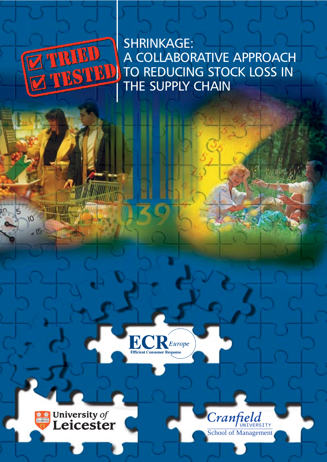

封制则

10 MM H

 $.15$ 

 $30 - 5$ 

SHRINKAGE: A COLLABORATIVE APPROACH TO REDUCING STOCK LOSS IN THE SUPPLY CHAIN





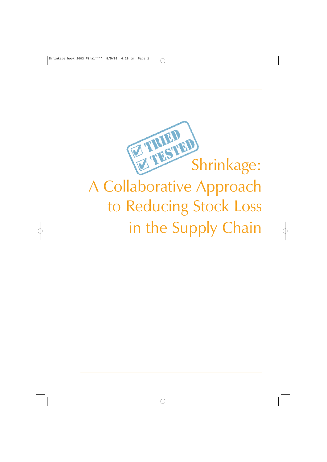# THETED<br>THETED<br>Shrinkage:

## A Collaborative Approach to Reducing Stock Loss in the Supply Chain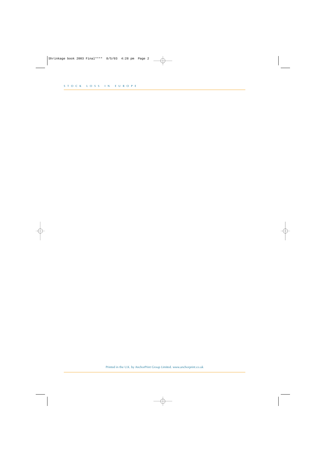Printed in the U.K. by AnchorPrint Group Limited. www.anchorprint.co.uk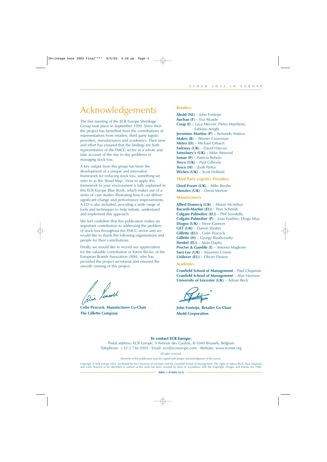## Acknowledgements

The first meeting of the ECR Europe Shrinkage Group took place in September 1999. Since then the project has benefited from the contributions of representatives from retailers, third party logistic providers, manufacturers and academics. Their time and effort has ensured that the findings are both representative of the FMCG sector as a whole and take account of the day to day problems of managing stock loss.

A key output from this group has been the development of a unique and innovative framework for reducing stock loss, something we refer to as the 'Road Map'. How to apply this framework to your environment is fully explained in this ECR Europe Blue Book, which makes use of a series of case studies illustrating how it can deliver significant change and performance improvements. A CD is also included, providing a wide range of tools and techniques to help initiate, understand and implement this approach.

We feel confident that this publication makes an important contribution to addressing the problem of stock loss throughout the FMCG sector and we would like to thank the following organisations and people for their contributions.

Finally, we would like to record our appreciation for the valuable contribution of Katrin Recke, of the European Brands Association (AIM), who has provided the project secretariat and ensured the smooth running of this project.

Sin leavel

**Colin Peacock, Manufacturer Co-Chair The Gillette Company** 

#### **Retailers**

**Ahold (NL)** – John Fonteijn **Auchan (F)** – Eva Alcaide **Coop (I)** – Luca Meconi, Pietro Mambrini, Fabrizio Arrighi **Jeronimo Martins (P)** – Armando Mateus **Makro (B)** – Werner Cooreman **Metro (D)** – Michael Orbach **Safeway (UK)** – David Haycox **Sainsbury's (UK)** – Mike Attwood **Sonae (P)** – Patrícia Rebelo **Tesco (UK)** – Paul Gilhooly **Tesco (H)** – Zsolt Partos **Wickes (UK)** – Scott Holland

**Third Party Logistics Providers**

**Lloyd Fraser (UK)** – Mike Breslin **Menzies (UK)** – David Morton

#### **Manufacturers**

**Allied Domecq (UK)** – Alistair McArthur **Bacardi-Martini (EU)** – Peer Schmidt **Colgate-Palmolive (EU)** – Phil Scordellis **Colgate-Palmolive (P)** – João Eusébio, Diogo Silva **Diageo (UK)** – Steve Gannon **GET (UK)** – Darren Shotter **Gillette (EU)** – Colin Peacock **Gillette (H)** – Gyorgy Ruszkovszky **Henkel (EU)** – Alain Daphy **Procter & Gamble (I)** – Antonio Maglione **Sara Lee (UK)** – Maureen Cronin **Unilever (EU)** – Olivier Fleurot

#### **Academics**

**Cranfield School of Management** – Paul Chapman **Cranfield School of Management** – Alan Harrison **University of Leicester (UK)** – Adrian Beck

**John Fonteijn, Retailer Co-Chair Ahold Corporation** 

#### To contact ECR Europe:

Postal address: ECR Europe, 9 Avenue des Gaulois, B-1040 Brussels, Belgium Telephone: +32 2 736 0305 · Email: ecr@ecreurope.com · Website: www.ecrnet.org

All rights reserved.

Elements of this publication may be copied with proper acknowledgment of the source.

Copyright © ECR Europe 2003. Facilitated by the University of Leicester and the Cranfield School of Management. The rights of Adrian Beck, Paul Chapman and Colin Peacock to be identified as authors of this work has been asserted by them in accordance with the Copyright, Designs and Patents Act 1988.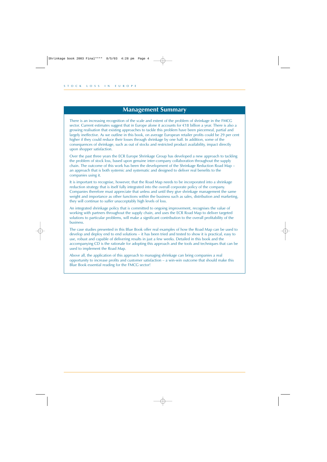#### **Management Summary**

There is an increasing recognition of the scale and extent of the problem of shrinkage in the FMCG sector. Current estimates suggest that in Europe alone it accounts for €18 billion a year. There is also a growing realisation that existing approaches to tackle this problem have been piecemeal, partial and largely ineffective. As we outline in this book, on average European retailer profits could be 29 per cent higher if they could reduce their losses through shrinkage by one half. In addition, some of the consequences of shrinkage, such as out of stocks and restricted product availability, impact directly upon shopper satisfaction.

Over the past three years the ECR Europe Shrinkage Group has developed a new approach to tackling the problem of stock loss, based upon genuine inter-company collaboration throughout the supply chain. The outcome of this work has been the development of the Shrinkage Reduction Road Map – an approach that is both systemic and systematic and designed to deliver real benefits to the companies using it.

It is important to recognise, however, that the Road Map needs to be incorporated into a shrinkage reduction strategy that is itself fully integrated into the overall corporate policy of the company. Companies therefore must appreciate that unless and until they give shrinkage management the same weight and importance as other functions within the business such as sales, distribution and marketing, they will continue to suffer unacceptably high levels of loss.

An integrated shrinkage policy that is committed to ongoing improvement, recognises the value of working with partners throughout the supply chain, and uses the ECR Road Map to deliver targeted solutions to particular problems, will make a significant contribution to the overall profitability of the business.

The case studies presented in this Blue Book offer real examples of how the Road Map can be used to develop and deploy end to end solutions – it has been tried and tested to show it is practical, easy to use, robust and capable of delivering results in just a few weeks. Detailed in this book and the accompanying CD is the rationale for adopting this approach and the tools and techniques that can be used to implement the Road Map.

Above all, the application of this approach to managing shrinkage can bring companies a real opportunity to increase profits and customer satisfaction – a win-win outcome that should make this Blue Book essential reading for the FMCG sector!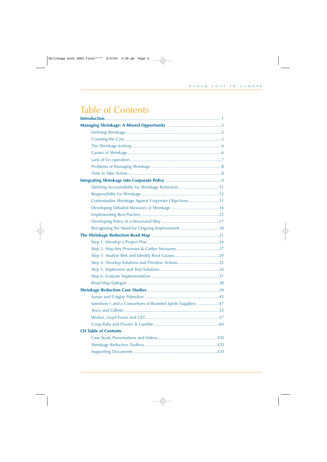## Table of Contents

| Defining Accountability for Shrinkage Reduction11            |
|--------------------------------------------------------------|
|                                                              |
| Contextualise Shrinkage Against Corporate Objectives12       |
|                                                              |
|                                                              |
|                                                              |
|                                                              |
|                                                              |
|                                                              |
|                                                              |
|                                                              |
| Step 4: Develop Solutions and Prioritise Actions32           |
|                                                              |
|                                                              |
|                                                              |
|                                                              |
|                                                              |
| Sainsbury's and a Consortium of Branded Spirits Suppliers 47 |
|                                                              |
|                                                              |
|                                                              |
| <b>CD Table of Contents</b>                                  |
|                                                              |
|                                                              |
|                                                              |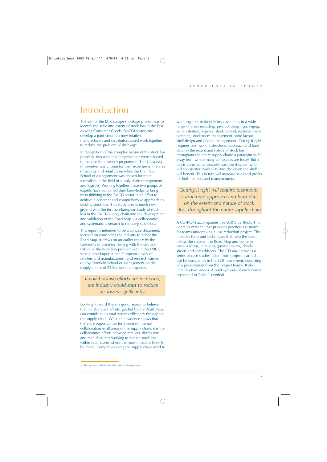## Introduction

The aim of the ECR Europe shrinkage project was to identify the scale and extent of stock loss in the Fast Moving Consumer Goods (FMCG) sector, and develop a joint vision on how retailers, manufacturers and distributors could work together to reduce the problem of shrinkage.

In recognition of the complex nature of the stock loss problem, two academic organisations were selected to manage the research programme. The University of Leicester was chosen for their expertise in the area of security and retail crime while the Cranfield School of Management was chosen for their specialism in the field of supply chain management and logistics. Working together these two groups of experts have combined their knowledge to bring fresh thinking to the FMCG sector in an effort to achieve a coherent and comprehensive approach to tackling stock loss. This study breaks much new ground with the first pan-European study of stock loss in the FMCG supply chain and the development and validation of the Road Map – a collaborative and systematic approach to reducing stock loss.

This report is intended to be a concise document, focused on convincing the industry to adopt the Road Map. It draws on an earlier report by the University of Leicester dealing with the size and nature of the stock loss problem within the FMCG sector, based upon a pan-European survey of retailers and manufacturers<sup>1</sup>, and research carried out by Cranfield School of Management on the supply chains of 23 European companies.

#### *If collaborative efforts are increased, the industry could start to reduce its losses significantly*

Looking forward there is good reason to believe that collaborative efforts, guided by the Road Map, can contribute to total systems efficiency throughout the supply chain. While the evidence shows that there are opportunities for increased internal collaboration in all areas of the supply chain, it is the collaborative efforts between retailers, distributors and manufacturers working to reduce stock loss within retail stores where the most impact is likely to be made. Companies along the supply chain need to work together to identify improvements in a wide range of areas including: product design, packaging, administration, logistics, stock control, replenishment planning, stock room management, store layout, shelf design and people management. Getting it right requires teamwork, a structured approach and hard data on the extent and nature of stock loss throughout the entire supply chain: a paradigm shift away from where many companies are today. But if this is done, all parties, not least the shopper, who will see greater availability and choice on the shelf, will benefit. This in turn will increase sales and profits for both retailers and manufacturers.

*Getting it right will require teamwork, a structured approach and hard data on the extent and nature of stock loss throughout the entire supply chain*

A CD-ROM accompanies this ECR Blue Book. This contains material that provides practical assistance for teams undertaking a loss reduction project. This includes tools and techniques that help the team follow the steps in the Road Map and come in various forms, including questionnaires, checksheets and spreadsheets. The CD also includes a series of case studies taken from projects carried out by companies in the ECR movement, consisting of a presentation from the project teams. It also includes two videos. A brief synopsis of each case is presented in Table 1 overleaf.

<sup>1</sup> This report is available from Adrian Beck at bna@le.ac.uk.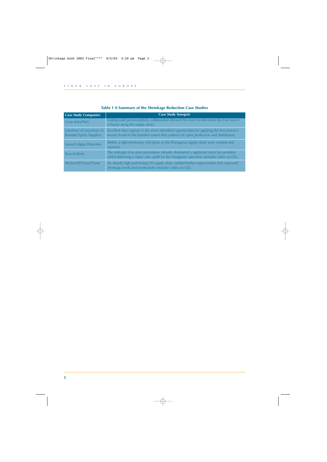| <b>Case Study Companies</b>                                   | <b>Case Study Synopsis</b>                                                                                                                                                              |
|---------------------------------------------------------------|-----------------------------------------------------------------------------------------------------------------------------------------------------------------------------------------|
| Coop Italia/P&G                                               | Casting aside preconceptions, collaboration allowed this team to determine the true source<br>of losses along the supply chain.                                                         |
| Sainsbury's/Consortium of<br><b>Branded Spirits Suppliers</b> | Excellent data capture in the stores identified opportunities for applying the best practice<br>lessons found in the bonded system that controls UK spirit production and distribution. |
| Sonae/Colgate Palmolive                                       | Within a tight timeframe, Hot Spots in this Portuguese supply chain were isolated and<br>resolved.                                                                                      |
| Tesco/Gillette                                                | The redesign of in-store procedures virtually eliminated a significant stock loss problem<br>whilst delivering a major sales uplift for the Hungarian operation (includes video on CD). |
| Wickes/GET/Lloyd Fraser                                       | An already high performing UK supply chain yielded further opportunities that improved<br>shrinkage levels and productivity (includes video on CD).                                     |

#### Table 1 A Summary of the Shrinkage Reduction Case Studies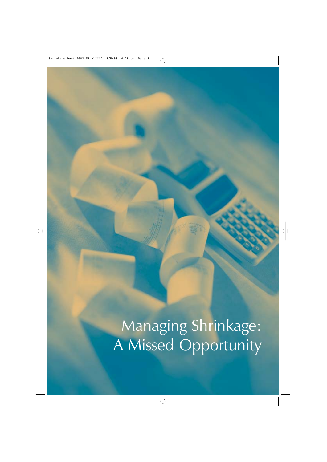Managing Shrinkage: A Missed Opportunity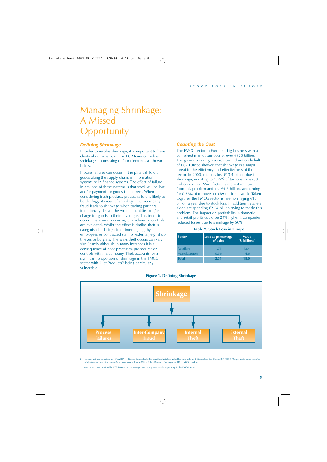## Managing Shrinkage: A Missed **Opportunity**

#### *Defining Shrinkage*

In order to resolve shrinkage, it is important to have clarity about what it is. The ECR team considers shrinkage as consisting of four elements, as shown below.

Process failures can occur in the physical flow of goods along the supply chain, in information systems or in finance systems. The effect of failure in any one of these systems is that stock will be lost and/or payment for goods is incorrect. When considering fresh product, process failure is likely to be the biggest cause of shrinkage. Inter-company fraud leads to shrinkage when trading partners intentionally deliver the wrong quantities and/or charge for goods to their advantage. This tends to occur when poor processes, procedures or controls are exploited. Whilst the effect is similar, theft is categorised as being either internal, e.g. by employees or contracted staff, or external, e.g. shop thieves or burglars. The ways theft occurs can vary significantly although in many instances it is a consequence of poor processes, procedures or controls within a company. Theft accounts for a significant proportion of shrinkage in the FMCG sector with 'Hot Products'<sup>2</sup> being particularly vulnerable.

#### *Counting the Cost*

The FMCG sector in Europe is big business with a combined market turnover of over €820 billion. The groundbreaking research carried out on behalf of ECR Europe showed that shrinkage is a major threat to the efficiency and effectiveness of the sector. In 2000, retailers lost €13.4 billion due to shrinkage, equating to 1.75% of turnover or  $\epsilon$ 258 million a week. Manufacturers are not immune from this problem and lost  $\epsilon$ 4.6 billion, accounting for 0.56% of turnover or €89 million a week. Taken together, the FMCG sector is haemorrhaging €18 billion a year due to stock loss. In addition, retailers alone are spending  $\epsilon$ 2.14 billion trying to tackle this problem. The impact on profitability is dramatic and retail profits could be 29% higher if companies reduced losses due to shrinkage by 50%.<sup>3</sup>

#### Table 2. Stock Loss in Europe

| <b>Sector</b>    | Loss as percentage<br>of sales | <b>Value</b><br>$(E)$ billions) |
|------------------|--------------------------------|---------------------------------|
| <b>Retailers</b> | 1.75                           | 13.4                            |
| Manufacturers    | 0.56                           | 4.6                             |
| <b>Total</b>     | 2.31                           | 18.0                            |



#### Figure 1. Defining Shrinkage

<sup>2</sup> Hot products are described as 'CRAVED' by thieves: Concealable; Removable, Available, Valuable, Enjoyable, and Disposable. See Clarke, R.V. (1999) *Hot products: understanding, anticipating and reducing demand for stolen goods*, Home Office Police Research Series paper 112, HMSO, London.

<sup>3</sup> Based upon data provided by ECR Europe on the average profit margin for retailers operating in the FMCG sector.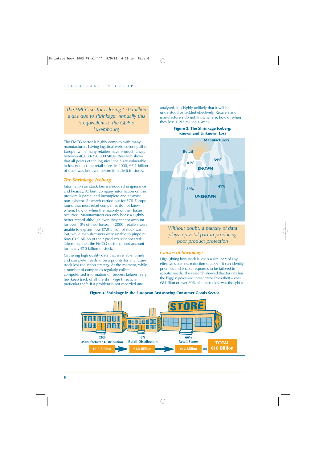*The FMCG sector is losing €50 million a day due to shrinkage. Annually this is equivalent to the GDP of Luxembourg*

The FMCG sector is highly complex with many manufacturers having logistical webs covering all of Europe, while many retailers have product ranges between 40,000-250,000 SKUs. Research shows that all points of the logistical chain are vulnerable to loss not just the retail store. In 2000, €6.1 billion of stock was lost even before it made it to stores.

#### *The Shrinkage Iceberg*

Information on stock loss is shrouded in ignorance and hearsay. At best, company information on this problem is partial and incomplete and at worst non-existent. Research carried out for ECR Europe found that most retail companies do not know where, how or when the majority of their losses occurred. Manufacturers can only boast a slightly better record although even they cannot account for over 40% of their losses. In 2000, retailers were unable to explain how €7.9 billion of stock was lost, while manufacturers were unable to pinpoint how €1.9 billion of their products 'disappeared'. Taken together, the FMCG sector cannot account for nearly €10 billion of stock.

Gathering high quality data that is reliable, timely and complete needs to be a priority for any future stock loss reduction strategy. At the moment, while a number of companies regularly collect computerised information on process failures, very few keep track of all the shrinkage threats, in particular theft. If a problem is not recorded and

analysed, it is highly unlikely that it will be understood or tackled effectively. Retailers and manufacturers do not know where, how or when they lose €192 million a week.





*Without doubt, a paucity of data plays a pivotal part in producing poor product protection*

#### *Causes of Shrinkage*

Highlighting how stock is lost is a vital part of any effective stock loss reduction strategy – it can identify priorities and enable responses to be tailored to specific needs. The research showed that for retailers, the biggest perceived threat came from theft – over €8 billion or over 60% of all stock loss was thought to



#### Figure 3. Shrinkage in the European Fast Moving Consumer Goods Sector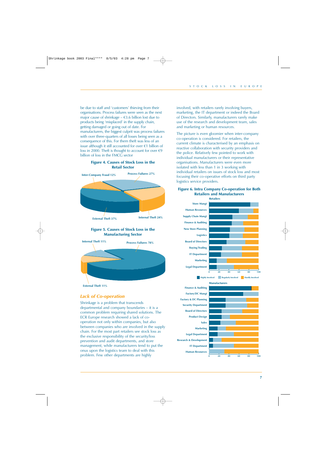be due to staff and 'customers' thieving from their organisations. Process failures were seen as the next major cause of shrinkage  $- \epsilon$ 3.6 billion lost due to products being 'misplaced' in the supply chain, getting damaged or going out of date. For manufacturers, the biggest culprit was process failures with over three-quarters of all losses being seen as a consequence of this. For them theft was less of an issue although it still accounted for over €1 billion of loss in 2000. Theft is thought to account for over €9 billion of loss in the FMCG sector

#### Figure 4. Causes of Stock Loss in the Retail Sector



#### Figure 5. Causes of Stock Loss in the Manufacturing Sector



#### *Lack of Co-operation*

Shrinkage is a problem that transcends departmental and company boundaries – it is a common problem requiring shared solutions. The ECR Europe research showed a lack of cooperation not only within companies, but also between companies who are involved in the supply chain. For the most part retailers see stock loss as the exclusive responsibility of the security/loss prevention and audit departments, and store management, while manufacturers tend to put the onus upon the logistics team to deal with this problem. Few other departments are highly

involved, with retailers rarely involving buyers, marketing, the IT department or indeed the Board of Directors. Similarly, manufacturers rarely make use of the research and development team, sales and marketing or human resources.

The picture is even gloomier when inter-company co-operation is considered. For retailers, the current climate is characterised by an emphasis on reactive collaboration with security providers and the police. Relatively few pointed to work with individual manufacturers or their representative organisations. Manufacturers were even more isolated with less than 1 in 3 working with individual retailers on issues of stock loss and most focusing their co-operative efforts on third party logistics service providers.

#### Figure 6. Intra Company Co-operation for Both Retailers and Manufacturers

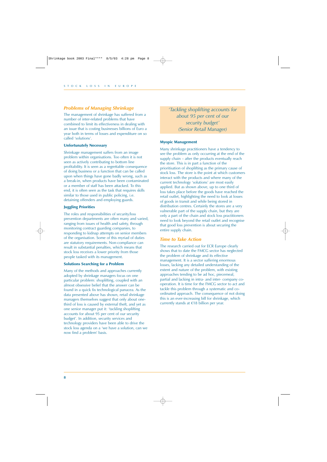#### *Problems of Managing Shrinkage*

The management of shrinkage has suffered from a number of inter-related problems that have combined to limit its effectiveness in dealing with an issue that is costing businesses billions of Euro a year both in terms of losses and expenditure on so called 'solutions'.

#### Unfortunately Necessary

Shrinkage management suffers from an image problem within organisations. Too often it is not seen as actively contributing to bottom line profitability. It is seen as a regrettable consequence of doing business or a function that can be called upon when things have gone badly wrong, such as a break-in, when products have been contaminated or a member of staff has been attacked. To this end, it is often seen as the task that requires skills similar to those used in public policing, i.e. detaining offenders and employing guards.

#### Juggling Priorities

The roles and responsibilities of security/loss prevention departments are often many and varied, ranging from issues of health and safety, through monitoring contract guarding companies, to responding to kidnap attempts on senior members of the organisation. Some of this myriad of duties are statutory requirements. Non-compliance can result in substantial penalties, which means that stock loss receives a lower priority from those people tasked with its management.

#### Solutions Searching for a Problem

Many of the methods and approaches currently adopted by shrinkage managers focus on one particular problem: shoplifting, coupled with an almost obsessive belief that the answer can be found in a quick fix technological panacea. As the data presented above has shown, retail shrinkage managers themselves suggest that only about onethird of loss is caused by external theft, and yet as one senior manager put it: 'tackling shoplifting accounts for about 95 per cent of our security budget'. In addition, security services and technology providers have been able to drive the stock loss agenda on a 'we have a solution, can we now find a problem' basis.

*'Tackling shoplifting accounts for about 95 per cent of our security budget' (Senior Retail Manager)*

#### Myopic Management

Many shrinkage practitioners have a tendency to see the problem as only occurring at the end of the supply chain – after the products eventually reach the store. This is in part a function of the prioritisation of shoplifting as the primary cause of stock loss. The store is the point at which customers interact with the products and where many of the current technology 'solutions' are most easily applied. But as shown above, up to one third of loss takes place before the goods have reached the retail outlet, highlighting the need to look at losses of goods in transit and while being stored in distribution centres. Certainly the stores are a very vulnerable part of the supply chain, but they are only a part of the chain and stock loss practitioners need to look beyond the retail outlet and recognise that good loss prevention is about securing the entire supply chain.

#### *Time to Take Action*

The research carried out for ECR Europe clearly shows that to date the FMCG sector has neglected the problem of shrinkage and its effective management. It is a sector suffering enormous losses, lacking any detailed understanding of the extent and nature of the problem, with existing approaches tending to be ad hoc, piecemeal, partial and lacking in intra- and inter- company cooperation. It is time for the FMCG sector to act and tackle this problem through a systematic and coordinated approach. The consequence of not doing this is an ever-increasing bill for shrinkage, which currently stands at €18 billion per year.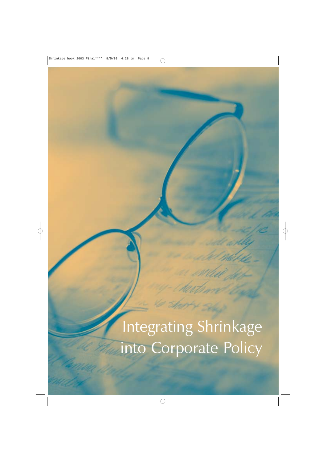Integrating Shrinkage into Corporate Policy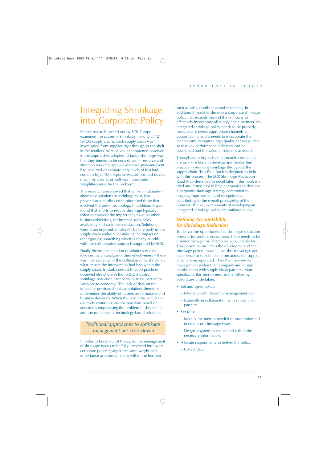## Integrating Shrinkage into Corporate Policy

Recent research carried out by ECR Europe examined the causes of shrinkage, looking at 12 FMCG supply chains. Each supply chain was investigated from supplier right through to the shelf in the retailers' store. A key phenomenon observed in the approaches adopted to tackle shrinkage was that they tended to be crisis driven – resource and attention was only applied when a significant event had occurred or extraordinary levels of loss had come to light. The response was ad-hoc and usually driven by a series of well-worn anecdotes – 'shoplifters must be the problem'.

This research also showed that while a multitude of alternative solutions to shrinkage exist, loss prevention specialists often prioritised those that involved the use of technology. In addition, it was found that efforts to reduce shrinkage typically failed to consider the impact they have on other business objectives, for instance sales, stock availability and customer satisfaction. Solutions were often imposed unilaterally by one party in the supply chain without considering the impact on other groups; something which is clearly at odds with the collaborative approach supported by ECR.

Finally the implementation of solutions was not followed by an analysis of their effectiveness – there was little evidence of the collection of hard data on what impact the intervention had had within the supply chain. In stark contrast to good practices observed elsewhere in the FMCG industry, shrinkage reduction cannot claim to be part of the 'knowledge economy.' The lack of data on the impact of previous shrinkage solutions therefore undermines the ability of businesses to make sound business decisions. When the next crisis occurs the old cycle continues: ad-hoc reactions based on anecdotes emphasising the problem of shoplifting and the usefulness of technology-based solutions.

#### *Traditional approaches to shrinkage management are crisis driven*

In order to break out of this cycle, the management of shrinkage needs to be fully integrated into overall corporate policy, giving it the same weight and importance as other functions within the business

such as sales, distribution and marketing. In addition, it needs to develop a corporate shrinkage policy that extends beyond the company to effectively incorporate all supply chain partners. An integrated shrinkage policy needs to be properly resourced, it needs appropriate channels of accountability and it needs to incorporate the mechanisms to capture high quality shrinkage data so that key performance indicators can be developed and the value of solutions assessed.

Through adopting such an approach, companies are far more likely to develop and deploy best practice in reducing shrinkage throughout the supply chain. This Blue Book is designed to help with this process. The ECR Shrinkage Reduction Road Map described in detail later in this book is a tried and tested tool to help companies to develop a corporate shrinkage strategy committed to ongoing improvement and recognised as contributing to the overall profitability of the business. The key components of developing an integrated shrinkage policy are outlined below.

#### *Defining Accountability for Shrinkage Reduction*

To deliver the opportunity that shrinkage reduction presents for profit enhancement, there needs to be a senior manager or 'champion' accountable for it. This person co-ordinates the development of the shrinkage policy, ensuring that the knowledge and experience of stakeholders from across the supply chain are incorporated. They then oversee its management within their company and ensure collaboration with supply chain partners. More specifically, this person ensures the following actions are undertaken:

- Set and agree policy:
	- Internally with the senior management team.
	- Externally in collaboration with supply chain partners.
- Set KPIs:
	- Identify the metrics needed to make informed decisions on shrinkage issues.
	- Design a system to collect and collate the necessary information.
- Allocate responsibility to deliver the policy:
	- Collect data.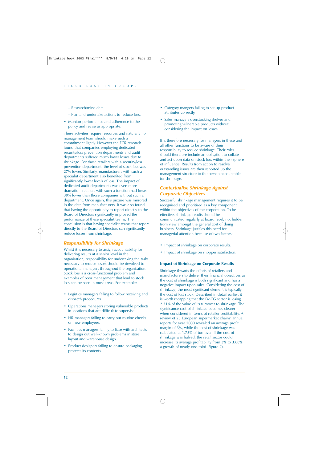- Research/mine data.
- Plan and undertake actions to reduce loss.
- Monitor performance and adherence to the policy and revise as appropriate.

These activities require resources and naturally no management team should make such a commitment lightly. However the ECR research found that companies employing dedicated security/loss prevention departments and audit departments suffered much lower losses due to shrinkage. For those retailers with a security/loss prevention department, the level of stock loss was 27% lower. Similarly, manufacturers with such a specialist department also benefited from significantly lower levels of loss. The impact of dedicated audit departments was even more dramatic – retailers with such a function had losses 39% lower than those companies without such a department. Once again, this picture was mirrored in the data from manufacturers. It was also found that having the opportunity to report directly to the Board of Directors significantly improved the performance of these specialist teams. The conclusion is that having specialist teams that report directly to the Board of Directors can significantly reduce losses from shrinkage.

#### *Responsibility for Shrinkage*

Whilst it is necessary to assign accountability for delivering results at a senior level in the organisation, responsibility for undertaking the tasks necessary to reduce losses should be devolved to operational managers throughout the organisation. Stock loss is a cross-functional problem and examples of poor management that lead to stock loss can be seen in most areas. For example:

- Logistics managers failing to follow receiving and dispatch procedures.
- Operations managers storing vulnerable products in locations that are difficult to supervise.
- HR managers failing to carry out routine checks on new employees.
- Facilities managers failing to liase with architects to design out well-known problems in store layout and warehouse design.
- Product designers failing to ensure packaging protects its contents.
- Category mangers failing to set up product attributes correctly.
- Sales managers overstocking shelves and promoting vulnerable products without considering the impact on losses.

It is therefore necessary for managers in these and all other functions to be aware of their responsibility to reduce shrinkage. Their roles should therefore include an obligation to collate and act upon data on stock loss within their sphere of influence. Results from action to resolve outstanding issues are then reported up the management structure to the person accountable for shrinkage.

#### *Contextualise Shrinkage Against Corporate Objectives*

Successful shrinkage management requires it to be recognised and prioritised as a key component within the objectives of the corporation. To be effective, shrinkage results should be communicated regularly at board level, not hidden from view amongst the general cost of doing business. Shrinkage justifies this need for managerial attention because of two factors:

- Impact of shrinkage on corporate results.
- Impact of shrinkage on shopper satisfaction.

#### Impact of Shrinkage on Corporate Results

Shrinkage thwarts the efforts of retailers and manufacturers to deliver their financial objectives as the cost of shrinkage is both significant and has a negative impact upon sales. Considering the cost of shrinkage, the most significant element is typically the cost of lost stock. Described in detail earlier, it is worth recapping that the FMCG sector is losing 2.31% of the value of its turnover to shrinkage. The significance cost of shrinkage becomes clearer when considered in terms of retailer profitability. A review of 25 European supermarket chains' annual reports for year 2000 revealed an average profit margin of 3%, while the cost of shrinkage was calculated at 1.75% of turnover. If the cost of shrinkage was halved, the retail sector could increase its average profitability from 3% to 3.88%, a growth of nearly one-third (Figure 7).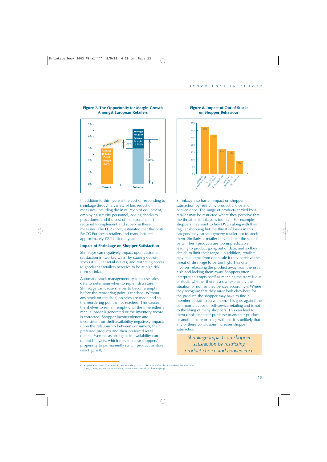Figure 8. Impact of Out of Stocks on Shopper Behaviour<sup>4</sup>



#### Figure 7. The Opportunity for Margin Growth Amongst European Retailers

In addition to this figure is the cost of responding to shrinkage through a variety of loss reduction measures, including the installation of equipment, employing security personnel, adding checks to procedures, and the cost of managerial effort required to implement and supervise these measures. The ECR survey estimated that this costs FMCG European retailers and manufacturers approximately €2.1 billion a year.

#### Impact of Shrinkage on Shopper Satisfaction

Shrinkage can negatively impact upon customer satisfaction in two key ways: by causing out-ofstocks (OOS) at retail outlets; and restricting access to goods that retailers perceive to be at high risk from shrinkage.

Automatic stock management systems use sales data to determine when to replenish a store. Shrinkage can cause shelves to become empty before the reordering point is reached. Without any stock on the shelf, no sales are made and so the reordering point is not reached. This causes the shelves to remain empty until the time either a manual order is generated or the inventory record is corrected. Shopper inconvenience and inconsistent on-shelf-availability negatively impacts upon the relationship between consumers, their preferred products and their preferred retail outlets. Even occasional gaps in availability can diminish loyalty, which may increase shoppers' propensity to permanently switch product or store (see Figure 8).



Shrinkage also has an impact on shopper satisfaction by restricting product choice and convenience. The range of products carried by a retailer may be restricted where they perceive that the threat of shrinkage is too high. For example shoppers may want to buy DVDs along with their regular shopping but the threat of losses in this category may cause a grocery retailer not to stock them. Similarly, a retailer may feel that the sale of certain fresh products are too unpredictable, leading to product going out of date, and so they decide to limit their range. In addition, retailers may take items from open sale if they perceive the threat of shrinkage to be too high. This often involves relocating the product away from the usual aisle and locking them away. Shoppers often interpret an empty shelf as meaning the store is out of stock, whether there is a sign explaining the situation or not, so they behave accordingly. Where they recognise that they must look elsewhere for the product, the shopper may have to find a member of staff to serve them. This goes against the common practice of self-service retailing and is not to the liking of many shoppers. This can lead to them displacing their purchase to another product or another store or going without. It is unlikely that any of these conclusions increases shopper satisfaction.

*Shrinkage impacts on shopper satisfaction by restricting product choice and convenience*

<sup>4</sup> Adapted from Gruen, T., Corsten, D. and Bharadwaj, S. (2002) *Retail Out of Stocks: A Worldwide Examination of Extent, Causes, and Consumer Responses,* University of Colorado, Colorado Springs.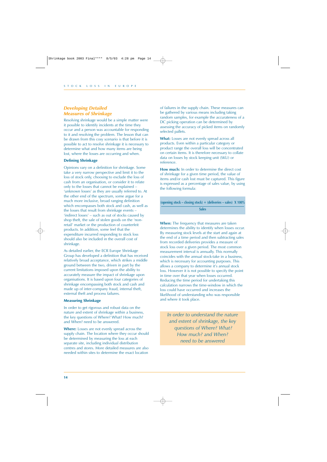#### *Developing Detailed Measures of Shrinkage*

Resolving shrinkage would be a simple matter were it possible to identify incidents at the time they occur and a person was accountable for responding to it and resolving the problem. The lesson that can be drawn from this cosy scenario is that before it is possible to act to resolve shrinkage it is necessary to determine what and how many items are being lost, where the losses are occurring and when.

#### Defining Shrinkage

Opinions vary on a definition for shrinkage. Some take a very narrow perspective and limit it to the loss of stock only, choosing to exclude the loss of cash from an organisation, or consider it to relate only to the losses that cannot be explained – 'unknown losses' as they are usually referred to. At the other end of the spectrum, some argue for a much more inclusive, broad ranging definition which encompasses both stock and cash, as well as the losses that result from shrinkage events – 'indirect losses' – such as out of stocks caused by shop theft, the sale of stolen goods on the 'nonretail' market or the production of counterfeit products. In addition, some feel that the expenditure incurred responding to stock loss should also be included in the overall cost of shrinkage.

As detailed earlier, the ECR Europe Shrinkage Group has developed a definition that has received relatively broad acceptance, which strikes a middle ground between the two, driven in part by the current limitations imposed upon the ability to accurately measure the impact of shrinkage upon organisations. It is based upon four categories of shrinkage encompassing both stock and cash and made up of inter-company fraud, internal theft, external theft and process failures.

#### Measuring Shrinkage

In order to get rigorous and robust data on the nature and extent of shrinkage within a business, the key questions of Where? What? How much? and When? need to be answered.

**Where:** Losses are not evenly spread across the supply chain. The location where they occur should be determined by measuring the loss at each separate site, including individual distribution centres and stores. More detailed measures are also needed within sites to determine the exact location

of failures in the supply chain. These measures can be gathered by various means including taking random samples, for example the accurateness of a DC picking operation can be determined by assessing the accuracy of picked items on randomly selected pallets.

**What:** Losses are not evenly spread across all products. Even within a particular category or product range the overall loss will be concentrated on certain items. It is therefore necessary to collate data on losses by stock keeping unit (SKU) or reference.

**How much:** In order to determine the direct cost of shrinkage for a given time period, the value of items and/or cash lost must be captured. This figure is expressed as a percentage of sales value, by using the following formula:

#### **(opening stock – closing stock) + (deliveries – sales) X 100%**

#### **Sales**

**When:** The frequency that measures are taken determines the ability to identify when losses occur. By measuring stock levels at the start and again at the end of a time period and then subtracting sales from recorded deliveries provides a measure of stock loss over a given period. The most common measurement interval is annually. This normally coincides with the annual stock-take in a business, which is necessary for accounting purposes. This allows a company to determine it's annual stock loss. However it is not possible to specify the point in time over that year when losses occurred. Reducing the time period for undertaking this calculation narrows the time-window in which the loss could have occurred and increases the likelihood of understanding who was responsible and where it took place.

*In order to understand the nature and extent of shrinkage, the key questions of Where? What? How much? and When? need to be answered*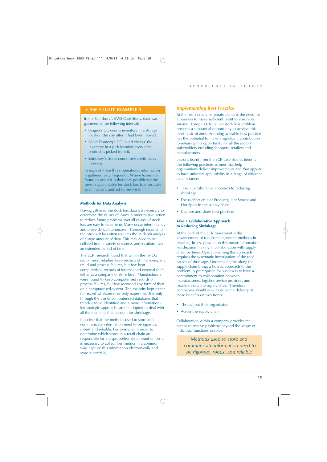#### **CASE STUDY EXAMPLE 1**

In the Sainsbury's BWS Case Study, data was gathered at the following intervals:

- Diageo's DC counts inventory in a storage location the day after it had been moved.
- Allied Domecq's DC 'blind checks' the inventory in a pick location every time product is picked from it.
- Sainsbury's stores count their spirits every morning.

In each of these three operations, information is gathered very frequently. Where losses are found to occur it is therefore possible for the person accountable for stock loss to investigate each incident and act to resolve it.

#### Methods for Data Analysis

Having gathered the stock loss data it is necessary to determine the causes of losses in order to take action to reduce future problems. Not all causes of stock loss are easy to determine. Many occur intermittently and prove difficult to uncover. Thorough research of the causes of loss often requires the in-depth analysis of a large amount of data. This may need to be collated from a variety of sources and locations over an extended period of time.

The ECR research found that within the FMCG sector, most retailers keep records of inter-company fraud and process failures, but few kept computerised records of internal and external theft, either at a company or store level. Manufacturers were found to keep computerised records of process failures, but few recorded any form of theft on a computerised system. The majority kept either no record whatsoever or only paper files. It is only through the use of computerised databases that trends can be identified and a more informationled strategic approach can be adopted to deal with all the elements that account for shrinkage.

It is clear that the methods used to store and communicate information need to be rigorous, robust and reliable. For example, in order to determine which stores in a retail chain are responsible for a disproportionate amount of loss it is necessary to collect loss metrics in a common way, capture this information electronically and store it centrally.

#### *Implementing Best Practice*

At the heart of any corporate policy is the need for a business to make sufficient profit to ensure its survival. Europe's €18 billion stock loss problem presents a substantial opportunity to achieve this most basic of aims. Adopting available best practice has the potential to make a significant contribution to releasing this opportunity for all the sectors' stakeholders including shoppers, retailers and manufacturers.

Lessons learnt from the ECR case studies identify the following practices as ones that help organisations deliver improvements and that appear to have universal applicability in a range of different circumstances:

- Take a collaborative approach to reducing shrinkage.
- Focus effort on Hot Products; Hot Stores; and Hot Spots in the supply chain.
- Capture and share best practice.

#### Take a Collaborative Approach to Reducing Shrinkage

At the core of the ECR movement is the advancement of robust management methods in retailing. In loss prevention this means informationled decision making in collaboration with supply chain partners. Operationalising this approach requires the systematic investigation of the root causes of shrinkage. Undertaking this along the supply chain brings a holistic approach to the problem. A prerequisite for success is to have a commitment to collaboration between manufacturers, logistics service providers and retailers along the supply chain. Therefore companies should seek to drive the delivery of these benefits on two fronts:

- Throughout their organisation.
- Across the supply chain.

Collaboration within a company provides the means to resolve problems beyond the scope of individual functions to solve.

*Methods used to store and communicate information need to be rigorous, robust and reliable*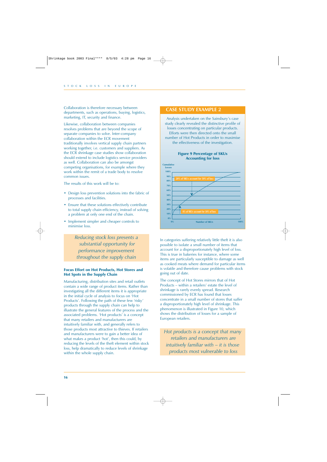Collaboration is therefore necessary between departments, such as operations, buying, logistics, marketing, IT, security and finance.

Likewise, collaboration between companies resolves problems that are beyond the scope of separate companies to solve. Inter-company collaboration within the ECR movement traditionally involves vertical supply chain partners working together, i.e. customers and suppliers. As the ECR shrinkage case studies show collaboration should extend to include logistics service providers as well. Collaboration can also be amongst competing organisations, for example where they work within the remit of a trade body to resolve common issues.

The results of this work will be to:

- Design loss prevention solutions into the fabric of processes and facilities.
- Ensure that these solutions effectively contribute to total supply chain efficiency, instead of solving a problem at only one end of the chain.
- Implement simpler and cheaper controls to minimise loss.

*Reducing stock loss presents a substantial opportunity for performance improvement throughout the supply chain*

#### Focus Effort on Hot Products, Hot Stores and Hot Spots in the Supply Chain

Manufacturing, distribution sites and retail outlets contain a wide range of product items. Rather than investigating all the different items it is appropriate in the initial cycle of analysis to focus on 'Hot Products'. Following the path of these few 'risky' products through the supply chain can help to illustrate the general features of the process and the associated problems. 'Hot products' is a concept that many retailers and manufacturers are intuitively familiar with, and generally refers to those products most attractive to thieves. If retailers and manufacturers were to gain a better idea of what makes a product 'hot', then this could, by reducing the levels of the theft element within stock loss, help dramatically to reduce levels of shrinkage within the whole supply chain.

#### **CASE STUDY EXAMPLE 2**

Analysis undertaken on the Sainsbury's case study clearly revealed the distinctive profile of losses concentrating on particular products. Efforts were then directed onto the small number of Hot Products in order to maximise the effectiveness of the investigation.



In categories suffering relatively little theft it is also possible to isolate a small number of items that account for a disproportionately high level of loss. This is true in bakeries for instance, where some items are particularly susceptible to damage as well as cooked meats where demand for particular items is volatile and therefore cause problems with stock going out of date.

The concept of Hot Stores mirrors that of Hot Products – within a retailers' estate the level of shrinkage is rarely evenly spread. Research commissioned by ECR has found that losses concentrate in a small number of stores that suffer a disproportionately high level of shrinkage. This phenomenon is illustrated in Figure 10, which shows the distribution of losses for a sample of European retailers.

*Hot products is a concept that many retailers and manufacturers are intuitively familiar with – it is those products most vulnerable to loss*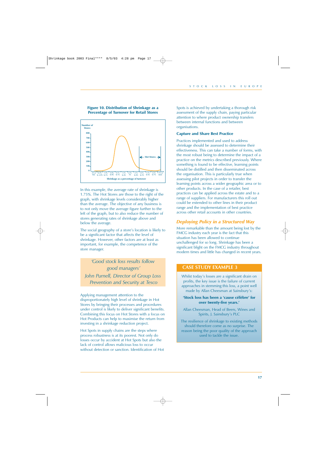#### Figure 10. Distribution of Shrinkage as a Percentage of Turnover for Retail Stores



In this example, the average rate of shrinkage is 1.75%. The Hot Stores are those to the right of the graph, with shrinkage levels considerably higher than the average. The objective of any business is to not only move the average figure further to the left of the graph, but to also reduce the number of stores generating rates of shrinkage above and below the average.

The social geography of a store's location is likely to be a significant factor that affects the level of shrinkage. However, other factors are at least as important, for example, the competence of the store manager.

*'Good stock loss results follow good managers' John Purnell, Director of Group Loss Prevention and Security at Tesco* 

Applying management attention to the disproportionately high level of shrinkage in Hot Stores by bringing their processes and procedures under control is likely to deliver significant benefits. Combining this focus on Hot Stores with a focus on Hot Products can help to maximise the return from investing in a shrinkage reduction project.

Hot Spots in supply chains are the steps where process robustness is at its poorest. Not only do losses occur by accident at Hot Spots but also the lack of control allows malicious loss to occur without detection or sanction. Identification of Hot Spots is achieved by undertaking a thorough risk assessment of the supply chain, paying particular attention to where product ownership transfers between internal functions and between organisations.

#### Capture and Share Best Practice

Practices implemented and used to address shrinkage should be assessed to determine their effectiveness. This can take a number of forms, with the most robust being to determine the impact of a practice on the metrics described previously. Where something is found to be effective, learning points should be distilled and then disseminated across the organisation. This is particularly true when assessing pilot projects in order to transfer the learning points across a wider geographic area or to other products. In the case of a retailer, best practices can be applied across the estate and to a range of suppliers. For manufacturers this roll out could be extended to other lines in their product range and the implementation of best practice across other retail accounts in other countries.

#### *Deploying Policy in a Structured Way*

More remarkable than the amount being lost by the FMCG industry each year is the fact that this situation has been allowed to continue unchallenged for so long. Shrinkage has been a significant blight on the FMCG industry throughout modern times and little has changed in recent years.

#### **CASE STUDY EXAMPLE 3**

Whilst today's losses are a significant drain on profits, the key issue is the failure of current approaches in stemming this loss, a point well made by Allan Cheesman at Sainsbury's:

#### 'Stock loss has been a 'cause célèbre' for over twenty-five years.'

Allan Cheesman, Head of Beers, Wines and Spirits, J. Sainsbury's PLC

The resilience of shrinkage to existing methods should therefore come as no surprise. The reason being the poor quality of the approach used to tackle the issue.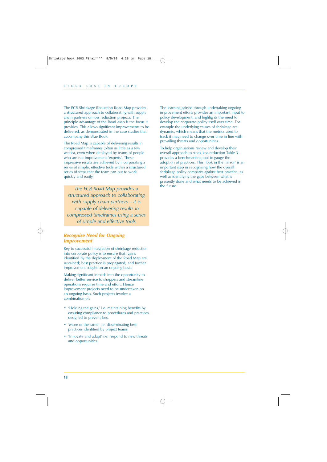The ECR Shrinkage Reduction Road Map provides a structured approach to collaborating with supply chain partners on loss reduction projects. The principle advantage of the Road Map is the focus it provides. This allows significant improvements to be delivered, as demonstrated in the case studies that accompany this Blue Book.

The Road Map is capable of delivering results in compressed timeframes (often as little as a few weeks), even when deployed by teams of people who are not improvement 'experts'. These impressive results are achieved by incorporating a series of simple, effective tools within a structured series of steps that the team can put to work quickly and easily.

*The ECR Road Map provides a structured approach to collaborating with supply chain partners – it is capable of delivering results in compressed timeframes using a series of simple and effective tools*

#### *Recognise Need for Ongoing Improvement*

Key to successful integration of shrinkage reduction into corporate policy is to ensure that: gains identified by the deployment of the Road Map are sustained; best practice is propagated; and further improvement sought on an ongoing basis.

Making significant inroads into the opportunity to deliver better service to shoppers and streamline operations requires time and effort. Hence improvement projects need to be undertaken on an ongoing basis. Such projects involve a combination of:

- 'Holding the gains,' i.e. maintaining benefits by ensuring compliance to procedures and practices designed to prevent loss.
- 'More of the same' i.e. disseminating best practices identified by project teams.
- 'Innovate and adapt' i.e. respond to new threats and opportunities.

The learning gained through undertaking ongoing improvement efforts provides an important input to policy development, and highlights the need to develop the corporate policy itself over time. For example the underlying causes of shrinkage are dynamic, which means that the metrics used to track it may need to change over time in line with prevailing threats and opportunities.

To help organisations review and develop their overall approach to stock loss reduction Table 3 provides a benchmarking tool to gauge the adoption of practices. This 'look in the mirror' is an important step in recognising how the overall shrinkage policy compares against best practice, as well as identifying the gaps between what is presently done and what needs to be achieved in the future.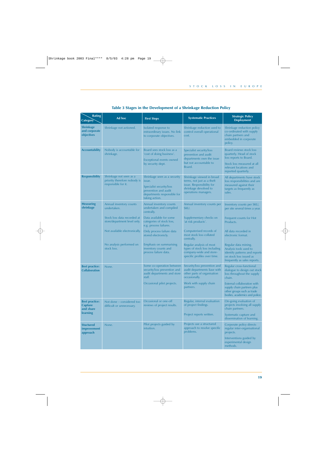| <b>Rating</b><br>Category                            | Ad hoc                                                                         | <b>First Steps</b>                                                                                                                          | <b>Systematic Practices</b>                                                                                                           | <b>Strategic Policy</b><br><b>Deployment</b>                                                                                                                  |
|------------------------------------------------------|--------------------------------------------------------------------------------|---------------------------------------------------------------------------------------------------------------------------------------------|---------------------------------------------------------------------------------------------------------------------------------------|---------------------------------------------------------------------------------------------------------------------------------------------------------------|
| <b>Shrinkage</b><br>and corporate<br>objectives      | Shrinkage not actioned.                                                        | Isolated response to<br>extraordinary issues. No link<br>to corporate objectives.                                                           | Shrinkage reduction used to<br>control overall operational<br>cost.                                                                   | Shrinkage reduction policy<br>co-ordinated with supply<br>chain partners and<br>embedded in corporate<br>policy.                                              |
| <b>Accountability</b>                                | Nobody is accountable for<br>shrinkage.                                        | Board sees stock loss as a<br>'cost of doing business'.<br>Exceptional events owned<br>by security dept.                                    | Specialist security/loss<br>prevention and audit<br>departments own the issue<br>but not accountable to<br>Board.                     | Board reviews stock loss<br>quarterly. Head of stock<br>loss reports to Board.<br>Stock loss measured at all<br>relevant locations and<br>reported quarterly. |
| <b>Responsibility</b>                                | Shrinkage not seen as a<br>priority therefore nobody is<br>responsible for it. | Shrinkage seen as a security<br>issue.<br>Specialist security/loss<br>prevention and audit<br>departments responsible for<br>taking action. | Shrinkage viewed in broad<br>terms, not just as a theft<br>issue. Responsibility for<br>shrinkage devolved to<br>operations managers. | All departments have stock<br>loss responsibilities and are<br>measured against their<br>targets as frequently as<br>sales.                                   |
| <b>Measuring</b><br>shrinkage                        | Annual inventory counts<br>undertaken.                                         | Annual inventory counts<br>undertaken and compiled<br>centrally.                                                                            | Annual inventory counts per<br>SKU.                                                                                                   | Inventory counts per SKU,<br>per site several times a year.                                                                                                   |
|                                                      | Stock loss data recorded at<br>store/department level only.                    | Data available for some<br>categories of stock loss,<br>e.g. process failures.                                                              | Supplementary checks on<br>'at risk products'.                                                                                        | Frequent counts for Hot<br>Products.                                                                                                                          |
|                                                      | Not available electronically.                                                  | Only process failure data<br>stored electronicly.                                                                                           | Computerised records of<br>most stock loss collated<br>centrally.                                                                     | All data recorded in<br>electronic format.                                                                                                                    |
|                                                      | No analysis performed on<br>stock loss.                                        | Emphasis on summarising<br>inventory counts and<br>process failure data.                                                                    | Regular analysis of most<br>types of stock loss including<br>company-wide and store-<br>specific profiles over time.                  | Regular data mining.<br>Analysis tools used to<br>identify patterns and reports<br>on stock loss issued as<br>frequently as sales reports.                    |
| <b>Best practice:</b><br><b>Collaboration</b>        | None.                                                                          | Some co-operation between<br>security/loss prevention and<br>audit departments and store<br>staff.                                          | Security/loss prevention and<br>audit departments liase with<br>other parts of organisation<br>occasionally.                          | Regular cross-functional<br>dialogue to design out stock<br>loss throughout the supply<br>chain.                                                              |
|                                                      |                                                                                | Occasional pilot projects.                                                                                                                  | Work with supply chain<br>partners.                                                                                                   | External collaboration with<br>supply chain partners plus<br>other groups such as trade<br>bodies, academics and police.                                      |
| <b>Best practice:</b><br><b>Capture</b><br>and share | Not done – considered too<br>difficult or unnecessary.                         | Occasional or one-off<br>reviews of project results.                                                                                        | Regular, internal evaluation<br>of project findings.                                                                                  | On-going evaluation of<br>projects involving all supply<br>chain partners.                                                                                    |
| <b>learning</b>                                      |                                                                                |                                                                                                                                             | Project reports written.                                                                                                              | Systematic capture and<br>dissemination of learning.                                                                                                          |
| <b>Stuctured</b><br><i>improvement</i><br>approach   | None.                                                                          | Pilot projects guided by<br>intuition.                                                                                                      | Projects use a structured<br>approach to resolve specific<br>problems.                                                                | Corporate policy directs<br>regular inter-organisational<br>projects.                                                                                         |
|                                                      |                                                                                |                                                                                                                                             |                                                                                                                                       | Interventions guided by<br>experimental design<br>methods.                                                                                                    |

#### Table 3 Stages in the Development of a Shrinkage Reduction Policy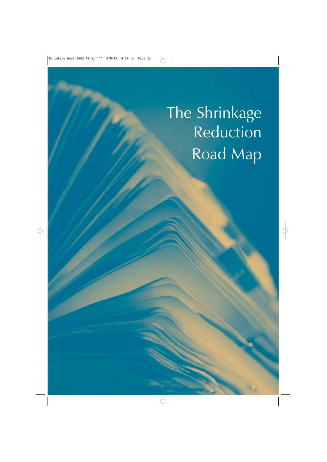The Shrinkage Reduction Road Map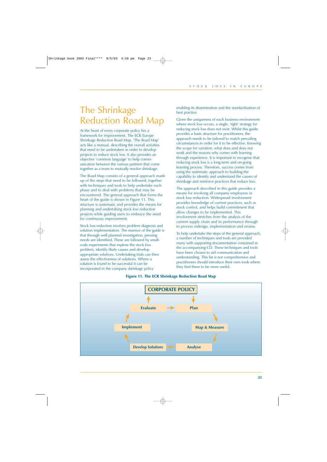## The Shrinkage Reduction Road Map

At the heart of every corporate policy lies a framework for improvement. The ECR Europe Shrinkage Reduction Road Map, 'The Road Map' acts like a manual, describing the overall activities that need to be undertaken in order to develop projects to reduce stock loss. It also provides an objective 'common language' to help communication between the various partners that come together as a team to mutually resolve shrinkage.

The Road Map consists of a general approach made up of the steps that need to be followed, together with techniques and tools to help undertake each phase and to deal with problems that may be encountered. The general approach that forms the heart of the guide is shown in Figure 11. This structure is systematic and provides the means for planning and undertaking stock loss reduction projects while guiding users to embrace the need for continuous improvement.

Stock loss reduction involves problem diagnosis and solution implementation. The essence of the guide is that through well-planned investigation, pressing needs are identified. These are followed by smallscale experiments that explore the stock loss problem, identify likely causes and develop appropriate solutions. Undertaking trials can then assess the effectiveness of solutions. Where a solution is found to be successful it can be incorporated in the company shrinkage policy

enabling its dissemination and the standardisation of best practice.

Given the uniqueness of each business environment where stock loss occurs, a single, 'right' strategy for reducing stock loss does not exist. Whilst this guide provides a basic structure for practitioners, the approach needs to be tailored to match prevailing circumstances in order for it to be effective. Knowing the scope for variation, what does and does not work and the reasons why comes with learning through experience. It is important to recognise that reducing stock loss is a long-term and on-going learning process. Therefore, success comes from using the systematic approach to building the capability to identify and understand the causes of shrinkage and reinforce practices that reduce loss.

The approach described in this guide provides a means for involving all company employees in stock loss reduction. Widespread involvement provides knowledge of current practices, such as stock control, and helps build commitment that allow changes to be implemented. This involvement stretches from the analysis of the current supply chain and its performance through to process redesign, implementation and review.

To help undertake the steps of the general approach, a number of techniques and tools are provided many with supporting documentation contained in the accompanying CD. These techniques and tools have been chosen to aid communication and understanding. This list is not comprehensive and practitioners should introduce their own tools where they find them to be more useful.



#### Figure 11. The ECR Shrinkage Reduction Road Map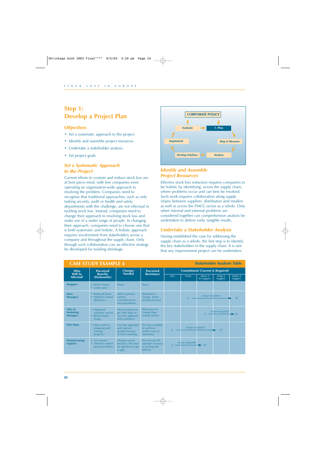#### **Step 1: Develop a Project Plan**

#### *Objectives*

- Set a systematic approach to the project
- Identify and assemble project resources
- Undertake a stakeholder analysis
- Set project goals

#### *Set a Systematic Approach to the Project*

Current efforts to contain and reduce stock loss are at best piece-meal, with few companies even operating an organisation-wide approach to resolving the problem. Companies need to recognise that traditional approaches, such as only tasking security, audit or health and safety departments with the challenge, are not effectual in tackling stock loss. Instead, companies need to change their approach to resolving stock loss and make use of a wider range of people. In changing their approach, companies need to choose one that is both systematic and holistic. A holistic approach requires involvement from stakeholders across a company and throughout the supply chain. Only through such collaboration can an effective strategy be developed for tackling shrinkage.



#### *Identify and Assemble Project Resources*

Effective stock loss reduction requires companies to be holistic by identifying, across the supply chain, where problems occur and can best be resolved. Such work requires collaboration along supply chains between suppliers, distributors and retailers as well as across the FMCG sector as a whole. Only when internal and external problems are considered together can comprehensive analysis be undertaken to deliver early, tangible results.

#### *Undertake a Stakeholder Analysis*

Having established the case for addressing the supply chain as a whole, the first step is to identify the key stakeholders in the supply chain. It is rare that any improvement project can be undertaken

| <b>CASE STUDY EXAMPLE 4</b><br><b>Stakeholder Analysis Table</b> |                                              |                                        |                                       |      |                         |                                            |                         |                   |  |
|------------------------------------------------------------------|----------------------------------------------|----------------------------------------|---------------------------------------|------|-------------------------|--------------------------------------------|-------------------------|-------------------|--|
| <b>Who</b><br><b>Will be</b>                                     | <b>Perceived</b>                             | <b>Changes</b><br><b>Needed</b>        | <b>Perceived</b>                      |      |                         | <b>Commitment (Current &amp; Required)</b> |                         |                   |  |
| Affected?                                                        | <b>Benefits</b><br>(Disbenefits)             |                                        | <b>Resistance</b>                     | Anti | None                    | Allow it<br>to happen                      | Help it<br>happen       | Make it<br>happen |  |
| <b>Shoppers</b>                                                  | • Better choice.<br>• Lower price.           | None.                                  | None.                                 |      |                         |                                            |                         |                   |  |
| <b>Store</b><br><b>Managers</b>                                  | • Reduced losses.<br>• (Need to control      | Skills in process<br>control.          | <b>Reluctant to</b><br>change. Stores |      |                         | Action required?                           |                         |                   |  |
|                                                                  | deliveries.)                                 | Commitment to<br>new procedures.       | already too busy.                     |      |                         |                                            |                         | $\mathsf{R}$      |  |
| Sales &<br><b>Marketing</b>                                      | • Improved<br>customer service.              | New incentives to<br>get Sales Reps to | <b>Reluctance to</b><br>change Reps.  |      |                         |                                            | <b>Action required?</b> | $\mathsf{R}$      |  |
| <b>Managers</b>                                                  | <b>Better brand</b><br>image.                | use new approach<br>with customers.    | reward system.                        |      |                         |                                            |                         |                   |  |
| <b>Sales Reps</b>                                                | (Extra work in<br>$\bullet$<br>preparing and | Use new approach<br>and improve        | No time available<br>to use/learn     |      | <b>Action required?</b> |                                            |                         |                   |  |
|                                                                  | running<br>projects.)                        | quality/accuracy<br>of stock counting. | system. Loss of<br>autonomy.          |      |                         |                                            | $\mathsf{R}$            |                   |  |
| Manufacturing/<br><b>Logistics</b>                               | • Less returns.<br>• (Need to control        | Change current<br>practices. Put onus  | Do not trust DC<br>operator accuracy  |      | <b>Action required?</b> |                                            |                         |                   |  |
|                                                                  | processes better.)                           | on operators to get<br>it right.       | in picking and<br>delivery.           |      |                         | R                                          |                         |                   |  |
|                                                                  |                                              |                                        |                                       |      |                         |                                            |                         |                   |  |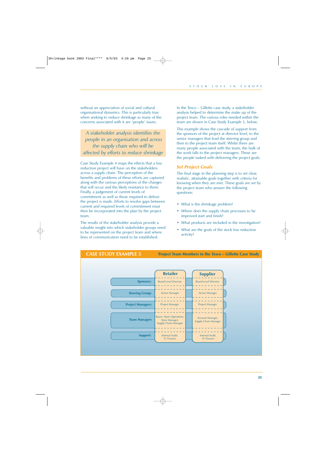without an appreciation of social and cultural organisational dynamics. This is particularly true when seeking to reduce shrinkage as many of the concerns associated with it are 'people' issues.

*A stakeholder analysis identifies the people in an organisation and across the supply chain who will be affected by efforts to reduce shrinkage* 

Case Study Example 4 maps the effects that a loss reduction project will have on the stakeholders across a supply chain. The perception of the benefits and problems of these efforts are captured along with the various perceptions of the changes that will occur and the likely resistance to them. Finally, a judgement of current levels of commitment as well as those required to deliver the project is made. Efforts to resolve gaps between current and required levels of commitment must then be incorporated into the plan by the project team.

The results of the stakeholder analysis provide a valuable insight into which stakeholder groups need to be represented on the project team and where lines of communication need to be established.

In the Tesco – Gillette case study, a stakeholder analysis helped to determine the make up of the project team. The various roles needed within the team are shown in Case Study Example 5, below.

This example shows the cascade of support from the sponsors of the project at director level, to the senior managers that lead the steering group and then to the project team itself. Whilst there are many people associated with the team, the bulk of the work falls to the project managers. These are the people tasked with delivering the project goals.

#### *Set Project Goals*

The final stage in the planning step is to set clear, realistic, attainable goals together with criteria for knowing when they are met. These goals are set by the project team who answer the following questions:

- What is the shrinkage problem?
- Where does the supply chain processes to be improved start and finish?
- What products are included in the investigation?
- What are the goals of the stock loss reduction activity?

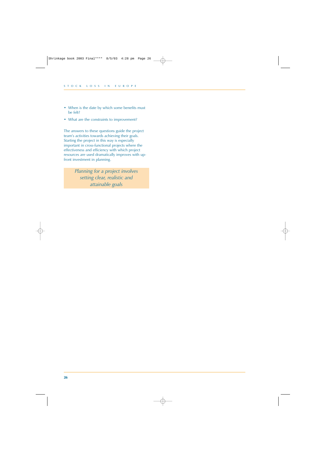- When is the date by which some benefits must be felt?
- What are the constraints to improvement?

The answers to these questions guide the project team's activities towards achieving their goals. Starting the project in this way is especially important in cross-functional projects where the effectiveness and efficiency with which project resources are used dramatically improves with upfront investment in planning.

> *Planning for a project involves setting clear, realistic and attainable goals*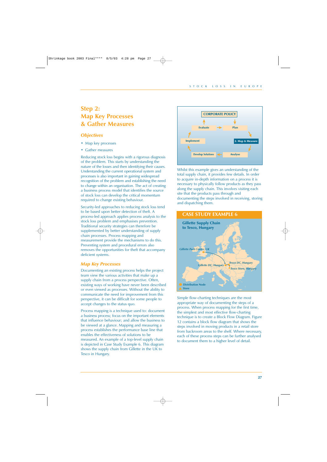#### **Step 2: Map Key Processes & Gather Measures**

#### *Objectives*

- Map key processes
- Gather measures

Reducing stock loss begins with a rigorous diagnosis of the problem. This starts by understanding the nature of the losses and then identifying their causes. Understanding the current operational system and processes is also important in gaining widespread recognition of the problem and establishing the need to change within an organisation. The act of creating a business process model that identifies the source of stock loss can develop the critical momentum required to change existing behaviour.

Security-led approaches to reducing stock loss tend to be based upon better detection of theft. A process-led approach applies process analysis to the stock loss problem and emphasises prevention. Traditional security strategies can therefore be supplemented by better understanding of supply chain processes. Process mapping and measurement provide the mechanisms to do this. Preventing system and procedural errors also removes the opportunities for theft that accompany deficient systems.

#### *Map Key Processes*

Documenting an existing process helps the project team view the various activities that make up a supply chain from a process perspective. Often, existing ways of working have never been described or even viewed as processes. Without the ability to communicate the need for improvement from this perspective, it can be difficult for some people to accept changes to the status quo.

Process mapping is a technique used to: document a business process; focus on the important elements that influence behaviour; and allow the business to be viewed at a glance. Mapping and measuring a process establishes the performance base line that enables the effectiveness of solutions to be measured. An example of a top-level supply chain is depicted in Case Study Example 6. This diagram shows the supply chain from Gillette in the UK to Tesco in Hungary.



Whilst this example gives an understanding of the total supply chain, it provides few details. In order to acquire in-depth information on a process it is necessary to physically follow products as they pass along the supply chain. This involves visiting each site that the products pass through and documenting the steps involved in receiving, storing and dispatching them.



Simple flow-charting techniques are the most appropriate way of documenting the steps of a process. When process mapping for the first time, the simplest and most effective flow-charting technique is to create a Block Flow Diagram. Figure 12 contains a block flow diagram that shows the steps involved in moving products in a retail store from backroom areas to the shelf. Where necessary, each of these process steps can be further analysed to document them to a higher level of detail.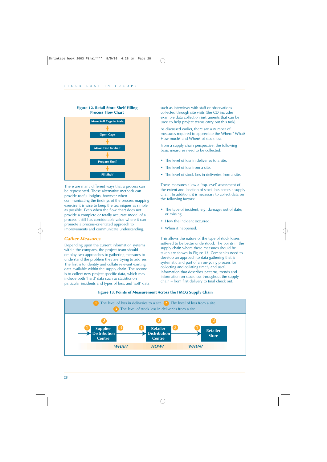Figure 12. Retail Store Shelf Filling Process Flow Chart



There are many different ways that a process can be represented. These alternative methods can provide useful insights, however when communicating the findings of the process mapping exercise it is wise to keep the techniques as simple as possible. Even when the flow chart does not provide a complete or totally accurate model of a process it still has considerable value where it can promote a process-orientated approach to improvements and communicate understanding.

#### *Gather Measures*

Depending upon the current information systems within the company, the project team should employ two approaches to gathering measures to understand the problem they are trying to address. The first is to identify and collate relevant existing data available within the supply chain. The second is to collect new project specific data, which may include both 'hard' data such as statistics on particular incidents and types of loss, and 'soft' data such as interviews with staff or observations collected through site visits (the CD includes example data collection instruments that can be used to help project teams carry out this task).

As discussed earlier, there are a number of measures required to appreciate the Where? What? How much? and When? of stock loss.

From a supply chain perspective, the following basic measures need to be collected:

- The level of loss in deliveries to a site.
- The level of loss from a site.
- The level of stock loss in deliveries from a site.

These measures allow a 'top-level' assessment of the extent and location of stock loss across a supply chain. In addition, it is necessary to collect data on the following factors:

- The type of incident, e.g. damage; out of date; or missing.
- How the incident occurred.
- When it happened.

This allows the nature of the type of stock losses suffered to be better understood. The points in the supply chain where these measures should be taken are shown in Figure 13. Companies need to develop an approach to data gathering that is systematic and part of an on-going process for collecting and collating timely and useful information that describes patterns, trends and information on stock loss throughout the supply chain – from first delivery to final check out.

#### Figure 13. Points of Measurement Across the FMCG Supply Chain

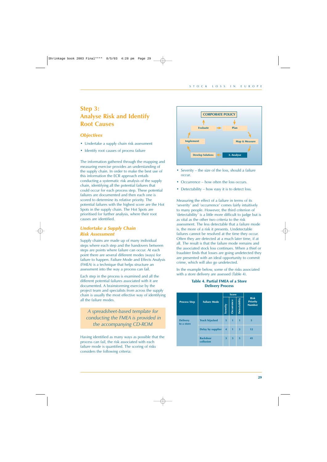#### **Step 3: Analyse Risk and Identify Root Causes**

#### *Objectives*

- Undertake a supply chain risk assessment
- Identify root causes of process failure

The information gathered through the mapping and measuring exercise provides an understanding of the supply chain. In order to make the best use of this information the ECR approach entails conducting a systematic risk analysis of the supply chain, identifying all the potential failures that could occur for each process step. These potential failures are documented and then each one is scored to determine its relative priority. The potential failures with the highest score are the Hot Spots in the supply chain. The Hot Spots are prioritised for further analysis, where their root causes are identified.

#### *Undertake a Supply Chain Risk Assessment*

Supply chains are made up of many individual steps where each step and the handovers between steps are points where failure can occur. At each point there are several different modes (ways) for failure to happen. Failure Mode and Effects Analysis (FMEA) is a technique that helps structure an assessment into the way a process can fail.

Each step in the process is examined and all the different potential failures associated with it are documented. A brainstorming exercise by the project team and specialists from across the supply chain is usually the most effective way of identifying all the failure modes.

*A spreadsheet-based template for conducting the FMEA is provided in the accompanying CD-ROM*

Having identified as many ways as possible that the process can fail, the risk associated with each failure mode is quantified. The scoring of risks considers the following criteria:



- Severity the size of the loss, should a failure occur.
- Occurrence how often the loss occurs.
- Detectability how easy it is to detect loss.

Measuring the effect of a failure in terms of its 'severity' and 'occurrence' comes fairly intuitively to many people. However, the third criterion of 'detectability' is a little more difficult to judge but is as vital as the other two criteria to the risk assessment. The less detectable that a failure mode is, the more of a risk it presents. Undetectable failures cannot be resolved at the time they occur. Often they are detected at a much later time, if at all. The result is that the failure mode remains and the associated stock loss continues. When a thief or fraudster finds that losses are going undetected they are presented with an ideal opportunity to commit crime, which will also go undetected.

In the example below, some of the risks associated with a store delivery are assessed (Table 4).

#### Table 4. Partial FMEA of a Store Delivery Process

|                               |                              |                         | <b>Score</b>            |               |                                                 |
|-------------------------------|------------------------------|-------------------------|-------------------------|---------------|-------------------------------------------------|
| <b>Process Step</b>           | <b>Failure Mode</b>          | Severity                | <b>Occurrence</b>       | Detectability | <b>Risk</b><br><b>Priority</b><br><b>Number</b> |
| <b>Delivery</b><br>to a store | <b>Truck hijacked</b>        | 5                       | $\blacksquare$          | 1             | 5                                               |
|                               | <b>Delay by supplier</b>     | $\overline{\mathbf{4}}$ | $\blacksquare$          | 3             | 12                                              |
|                               | <b>Backdoor</b><br>collusion | 3                       | $\overline{\mathbf{3}}$ | 5             | 45                                              |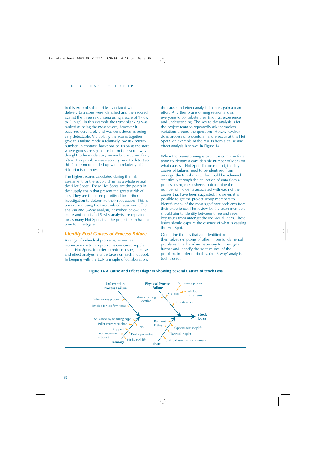In this example, three risks associated with a delivery to a store were identified and then scored against the three risk criteria using a scale of 1 (low) to 5 (high). In this example the truck hijacking was ranked as being the most severe, however it occurred very rarely and was considered as being very detectable. Multiplying the scores together gave this failure mode a relatively low risk priority number. In contrast, backdoor collusion at the store where goods are signed for but not delivered was thought to be moderately severe but occurred fairly often. This problem was also very hard to detect so this failure mode ended up with a relatively high risk priority number.

The highest scores calculated during the risk assessment for the supply chain as a whole reveal the 'Hot Spots'. These Hot Spots are the points in the supply chain that present the greatest risk of loss. They are therefore prioritised for further investigation to determine their root causes. This is undertaken using the two tools of cause and effect analysis and 5-why analysis, described below. The cause and effect and 5-why analysis are repeated for as many Hot Spots that the project team has the time to investigate.

#### *Identify Root Causes of Process Failure*

A range of individual problems, as well as interactions between problems can cause supply chain Hot Spots. In order to reduce losses, a cause and effect analysis is undertaken on each Hot Spot. In keeping with the ECR principle of collaboration,

the cause and effect analysis is once again a team effort. A further brainstorming session allows everyone to contribute their findings, experience and understanding. The key to the analysis is for the project team to repeatedly ask themselves variations around the question; 'How/why/when does process or procedural failure occur at this Hot Spot?' An example of the results from a cause and effect analysis is shown in Figure 14.

When the brainstorming is over, it is common for a team to identify a considerable number of ideas on what causes a Hot Spot. To focus effort, the key causes of failures need to be identified from amongst the trivial many. This could be achieved statistically through the collection of data from a process using check sheets to determine the number of incidents associated with each of the causes that have been suggested. However, it is possible to get the project group members to identify many of the most significant problems from their experience. The review by the team members should aim to identify between three and seven key issues from amongst the individual ideas. These issues should capture the essence of what is causing the Hot Spot.

Often, the themes that are identified are themselves symptoms of other, more fundamental problems. It is therefore necessary to investigate further and identify the 'root causes' of the problem. In order to do this, the '5-why' analysis tool is used.



Figure 14 A Cause and Effect Diagram Showing Several Causes of Stock Loss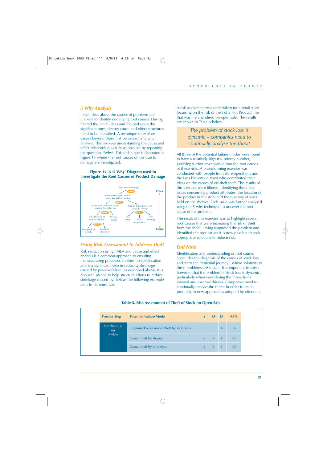#### *5 Why Analysis*

Initial ideas about the causes of problems are unlikely to identify underlying root causes. Having filtered the initial ideas and focused upon the significant ones, deeper cause and effect structures need to be identified. A technique to explore causes beyond those first perceived is '5 why' analysis. This involves understanding the cause and effect relationship as fully as possible by repeating the question, 'Why?' This technique is illustrated in Figure 15 where the root causes of loss due to damage are investigated.

#### Figure 15. A '5 Why' Diagram used to Investigate the Root Causes of Product Damage



#### *Using Risk Assessment to Address Theft*

Risk reduction using FMEA and cause and effect analysis is a common approach to ensuring manufacturing processes conform to specification and is a significant help in reducing shrinkage caused by process failure, as described above. It is also well placed to help structure efforts to reduce shrinkage caused by theft as the following example aims to demonstrate.

A risk assessment was undertaken for a retail store, focussing on the risk of theft of a Hot Product line that was merchandised on open sale. The results are shown in Table 5 below.

> *The problem of stock loss is dynamic – companies need to continually analyse the threat*

All three of the potential failure modes were found to have a relatively high risk priority number, justifying further investigation into the root causes of these risks. A brainstorming exercise was conducted with people from store operations and the Loss Prevention team who contributed their ideas on the causes of off-shelf theft. The results of this exercise were filtered, identifying three key issues concerning product attributes, the location of the product in the store and the quantity of stock held on the shelves. Each issue was further analysed using the 5-why technique to uncover the root cause of the problem.

The result of this exercise was to highlight several root causes that were increasing the risk of theft from the shelf. Having diagnosed the problem and identified the root causes it is now possible to seek appropriate solutions to reduce risk.

#### *End Note*

Identification and understanding of root causes concludes the diagnosis of the causes of stock loss and starts the 'remedial journey', where solutions to these problems are sought. It is important to stress however, that the problem of stock loss is dynamic, particularly when considering the threat from internal and external thieves. Companies need to continually analyse the threat in order to react promptly to new approaches adopted by offenders.

| <b>Process Step</b> | <b>Potential Failure Mode</b>              |                |   | D              | <b>RPN</b> |
|---------------------|--------------------------------------------|----------------|---|----------------|------------|
| Merchandise<br>on.  | Organised/professional theft by shopper(s) | $\overline{3}$ | 3 | $\overline{4}$ | 36         |
| Shelves             | Casual theft by shopper                    | $\overline{2}$ | 4 | $\overline{4}$ | 32         |
|                     | Casual theft by employee                   | $\overline{2}$ |   | 5              | 30         |

#### Table 5. Risk Assessment of Theft of Stock on Open Sale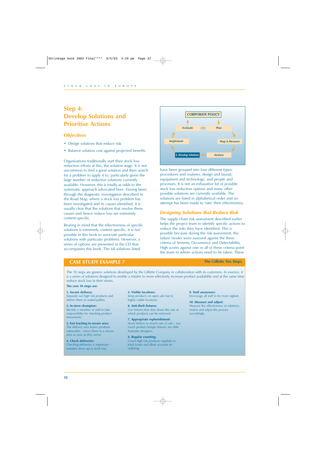#### **Step 4: Develop Solutions and Prioritise Actions**

#### *Objectives*

- Design solutions that reduce risk
- Balance solution cost against projected benefits

Organisations traditionally start their stock loss reduction efforts at this, the solution stage. It is not uncommon to find a great solution and then search for a problem to apply it to, particularly given the large number of seductive solutions currently available. However, this is totally at odds to the systematic approach advocated here. Having been through the diagnostic investigation described in the Road Map, where a stock loss problem has been investigated and its causes identified, it is usually clear that the solutions that resolve these causes and hence reduce loss are extremely context-specific.

Bearing in mind that the effectiveness of specific solutions is extremely context-specific, it is not possible in this book to associate particular solutions with particular problems. However, a series of options are presented in the CD that accompanies this book. The 68 solutions listed

**CASE STUDY EXAMPLE 7**



have been grouped into four different types: procedures and routines; design and layout; equipment and technology; and people and processes. It is not an exhaustive list of possible stock loss reduction options and many other possible solutions are currently available. The solutions are listed in alphabetical order and no attempt has been made to 'rate' their effectiveness.

#### *Designing Solutions that Reduce Risk*

The supply chain risk assessment described earlier helps the project team to identify specific actions to reduce the risks they have identified. This is possible because during the risk assessment, the failure modes were assessed against the three criteria of Severity, Occurrence and Detectability. High scores against one or all of these criteria point the team to where actions need to be taken. These

#### **The Gillette Ten Steps**

The 10 steps are generic solutions developed by the Gillette Company in collaboration with its customers. In essence, it is a series of solutions designed to enable a retailer to more effectively increase product availability and at the same time reduce stock loss in their stores.

#### The core 10 steps are:

1. Secure delivery: Separate out high risk products and deliver them in sealed pallets.

2. In-store champion: Identify a member of staff to take responsibility for checking product movements.

3. Fast tracking to secure area: The delivery area leaves products vulnerable – move them to a secure area as soon as they arrive.

4. Check deliveries: Checking deliveries is important – mistakes show up as stock loss.

5. Visible locations: Keep products on open sale but in highly visible locations.

6. Anti-theft fixtures: Use fixtures that slow down the rate at which products can be removed.

7. Appropriate replenishment: Stock shelves to match rate of sale – too much product tempts thieves, too little frustrates shoppers.

8. Regular counting: Count high risk products regularly to track losses and allow accurate reordering.

9. Staff awareness: Encourage all staff to be more vigilant.

10. Measure and adjust: Measure the effectiveness of solutions, review and adjust the process accordingly.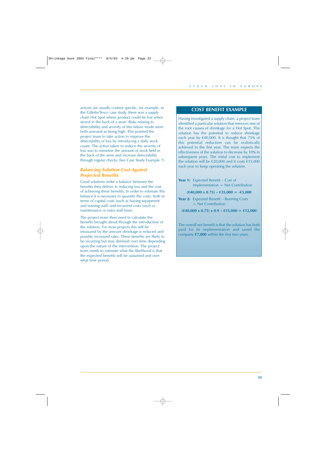actions are usually context specific, for example, in the Gillette/Tesco case study, there was a supply chain Hot Spot where product could be lost when stored in the back of a store. Risks relating to detectability and severity of this failure mode were both assessed as being high. This pointed the project team to take action to improve the detectability of loss by introducing a daily stock count. The action taken to reduce the severity of loss was to minimise the amount of stock held in the back of the store and increase detectability through regular checks (See Case Study Example 7).

#### *Balancing Solution Cost Against Projected Benefits*

Good solutions strike a balance between the benefits they deliver in reducing loss and the cost of achieving these benefits. In order to estimate this balance it is necessary to quantify the costs, both in terms of capital costs (such as buying equipment and training staff) and recurrent costs (such as maintenance or extra staff time).

The project team then need to calculate the benefits brought about through the introduction of the solution. For most projects this will be measured by the amount shrinkage is reduced and possibly increased sales. These benefits are likely to be recurring but may diminish over time depending upon the nature of the intervention. The project team needs to estimate what the likelihood is that the expected benefits will be sustained and over what time period.

#### **COST BENEFIT EXAMPLE**

Having investigated a supply chain, a project team identified a particular solution that removes one of the root causes of shrinkage for a Hot Spot. This solution has the potential to reduce shrinkage each year by  $€40,000$ . It is thought that 75% of this potential reduction can be realistically achieved in the first year. The team expects the effectiveness of the solution to decrease by 10% in subsequent years. The initial cost to implement the solution will be €20,000 and it costs €15,000 each year to keep operating the solution.

Year 1: Expected Benefit - Cost of Implementation = Net Contribution

**(€40,000 x 0.75) – €35,000 = -€5,000**

Year 2: Expected Benefit – Running Costs = Net Contribution

**(€40,000 x 0.75) x 0.9 – €15,000 = €12,000**

The overall net benefit is that the solution has both paid for its implementation and saved the company **€7,000** within the first two years.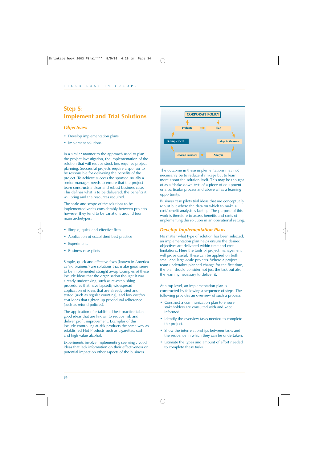#### **Step 5: Implement and Trial Solutions**

#### *Objectives:*

- Develop implementation plans
- Implement solutions

In a similar manner to the approach used to plan the project investigation, the implementation of the solution that will reduce stock loss requires project planning. Successful projects require a sponsor to be responsible for delivering the benefits of the project. To achieve success the sponsor, usually a senior manager, needs to ensure that the project team constructs a clear and robust business case. This defines what is to be delivered, the benefits it will bring and the resources required.

The scale and scope of the solutions to be implemented varies considerably between projects however they tend to be variations around four main archetypes:

- Simple, quick and effective fixes
- Application of established best practice
- **Experiments**
- **Business case pilots**

Simple, quick and effective fixes (known in America as 'no brainers') are solutions that make good sense to be implemented straight away. Examples of these include ideas that the organisation thought it was already undertaking (such as re-establishing procedures that have lapsed); widespread application of ideas that are already tried and tested (such as regular counting); and low cost/no cost ideas that tighten up procedural adherence (such as refund policies).

The application of established best practice takes good ideas that are known to reduce risk and deliver profit improvement. Examples of this include controlling at-risk products the same way as established Hot Products such as cigarettes, cash and high value alcohol.

Experiments involve implementing seemingly good ideas that lack information on their effectiveness or potential impact on other aspects of the business.



The outcome in these implementations may not necessarily be to reduce shrinkage but to learn more about the solution itself. This may be thought of as a 'shake down test' of a piece of equipment or a particular process and above all as a learning opportunity.

Business case pilots trial ideas that are conceptually robust but where the data on which to make a cost/benefit analysis is lacking. The purpose of this work is therefore to assess benefits and costs of implementing the solution in an operational setting.

#### *Develop Implementation Plans*

No matter what type of solution has been selected, an implementation plan helps ensure the desired objectives are delivered within time and cost limitations. Here the tools of project management will prove useful. These can be applied on both small and large-scale projects. Where a project team undertakes planned change for the first time, the plan should consider not just the task but also the learning necessary to deliver it.

At a top level, an implementation plan is constructed by following a sequence of steps. The following provides an overview of such a process:

- Construct a communication plan to ensure stakeholders are consulted with and kept informed.
- Identify the overview tasks needed to complete the project.
- Show the interrelationships between tasks and the sequence in which they can be undertaken.
- Estimate the types and amount of effort needed to complete these tasks.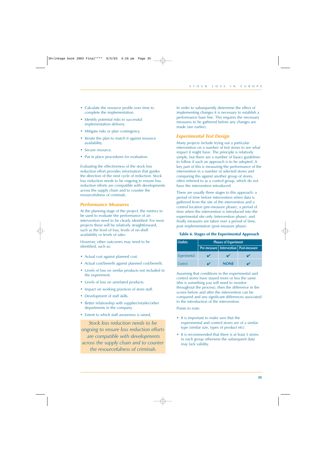- Calculate the resource profile over time to complete the implementation.
- Identify potential risks to successful implementation delivery.
- Mitigate risks or plan contingency.
- Iterate the plan to match it against resource availability.
- Secure resource.
- Put in place procedures for evaluation.

Evaluating the effectiveness of the stock loss reduction effort provides information that guides the direction of the next cycle of reduction. Stock loss reduction needs to be ongoing to ensure loss reduction efforts are compatible with developments across the supply chain and to counter the resourcefulness of criminals.

#### *Performance Measures*

At the planning stage of the project, the metrics to be used to evaluate the performance of an intervention need to be clearly identified. For most projects these will be relatively straightforward, such as the level of loss, levels of on-shelf availability or levels of sales.

However, other outcomes may need to be identified, such as:

- Actual cost against planned cost.
- Actual cost/benefit against planned cost/benefit.
- Levels of loss on similar products not included in the experiment.
- Levels of loss on unrelated products.
- Impact on working practices of store staff.
- Development of staff skills.
- Better relationship with supplier/retailer/other departments in the company.
- Extent to which staff awareness is raised.

*Stock loss reduction needs to be ongoing to ensure loss reduction efforts are compatible with developments across the supply chain and to counter the resourcefulness of criminals*

In order to subsequently determine the effect of implementing changes it is necessary to establish a performance base line. This requires the necessary measures to be gathered before any changes are made (see earlier).

#### *Experimental Test Design*

Many projects include trying out a particular intervention on a number of test stores to see what impact it might have. The principle is relatively simple, but there are a number of basics guidelines to follow if such an approach is to be adopted. A key part of this is measuring the performance of the intervention in a number of selected stores and comparing this against another group of stores, often referred to as a control group, which do not have the intervention introduced.

There are usually three stages to this approach: a period of time before intervention when data is gathered from the site of the intervention and a control location (pre-measure phase); a period of time when the intervention is introduced into the experimental site only (intervention phase); and finally measures are taken over a period of time, post implementation (post-measure phase).

#### Table 6. Stages of the Experimental Approach

| <b>Outlets</b> | <b>Phases of Experiment</b> |             |                                           |  |
|----------------|-----------------------------|-------------|-------------------------------------------|--|
|                |                             |             | Pre-measure   Intervention   Post-measure |  |
| Experimental   |                             |             |                                           |  |
| Control        |                             | <b>NONE</b> |                                           |  |

Assuming that conditions in the experimental and control stores have stayed more or less the same (this is something you will need to monitor throughout the process), then the difference in the scores before and after the intervention can be compared and any significant differences associated to the introduction of the intervention.

Points to note:

- It is important to make sure that the experimental and control stores are of a similar type (similar size, types of product etc).
- It is recommended that there is at least 5 stores in each group otherwise the subsequent data may lack validity.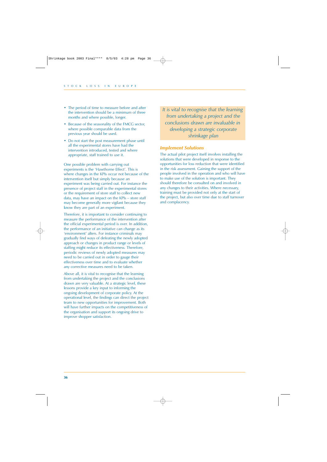- The period of time to measure before and after the intervention should be a minimum of three months and where possible, longer.
- Because of the seasonality of the FMCG sector, where possible comparable data from the previous year should be used.
- Do not start the post measurement phase until all the experimental stores have had the intervention introduced, tested and where appropriate, staff trained to use it.

One possible problem with carrying out experiments is the 'Hawthorne Effect'. This is where changes in the KPIs occur not because of the intervention itself but simply because an experiment was being carried out. For instance the presence of project staff in the experimental stores or the requirement of store staff to collect new data, may have an impact on the KPIs – store staff may become generally more vigilant because they know they are part of an experiment.

Therefore, it is important to consider continuing to measure the performance of the intervention after the official experimental period is over. In addition, the performance of an initiative can change as its 'environment' alters. For instance criminals may gradually find ways of defeating the newly adopted approach or changes in product range or levels of staffing might reduce its effectiveness. Therefore, periodic reviews of newly adopted measures may need to be carried out in order to gauge their effectiveness over time and to evaluate whether any corrective measures need to be taken.

Above all, it is vital to recognise that the learning from undertaking the project and the conclusions drawn are very valuable. At a strategic level, these lessons provide a key input to informing the ongoing development of corporate policy. At the operational level, the findings can direct the project team to new opportunities for improvement. Both will have further impacts on the competitiveness of the organisation and support its ongoing drive to improve shopper satisfaction.

*It is vital to recognise that the learning from undertaking a project and the conclusions drawn are invaluable in developing a strategic corporate shrinkage plan*

#### *Implement Solutions*

The actual pilot project itself involves installing the solutions that were developed in response to the opportunities for loss reduction that were identified in the risk assessment. Gaining the support of the people involved in the operation and who will have to make use of the solution is important. They should therefore be consulted on and involved in any changes to their activities. Where necessary, training must be provided not only at the start of the project, but also over time due to staff turnover and complacency.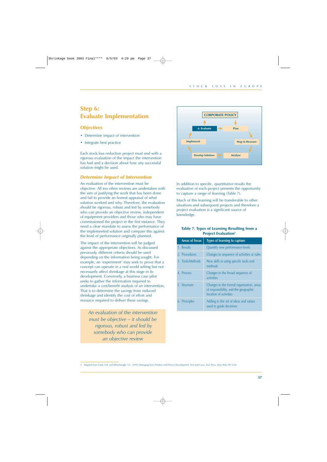#### **Step 6: Evaluate Implementation**

#### *Objectives*

- Determine impact of intervention
- Integrate best practice

Each stock loss reduction project must end with a rigorous evaluation of the impact the intervention has had and a decision about how any successful solution might be used.

#### *Determine Impact of Intervention*

An evaluation of the intervention must be objective. All too often reviews are undertaken with the aim of justifying the work that has been done and fail to provide an honest appraisal of what solution worked and why. Therefore, the evaluation should be rigorous, robust and led by somebody who can provide an objective review, independent of equipment providers and those who may have commissioned the project in the first instance. They need a clear mandate to assess the performance of the implemented solution and compare this against the level of performance originally planned.

The impact of the intervention will be judged against the appropriate objectives. As discussed previously, different criteria should be used depending on the information being sought. For example, an 'experiment' may seek to prove that a concept can operate in a real world setting but not necessarily affect shrinkage at this stage in its development. Conversely, a business case pilot seeks to gather the information required to undertake a cost/benefit analysis of an intervention. That is to determine the savings from reduced shrinkage and identify the cost of effort and resource required to deliver these savings.

*An evaluation of the intervention must be objective – it should be rigorous, robust and led by somebody who can provide an objective review*



In addition to specific, quantitative results the evaluation of each project presents the opportunity to capture a range of learning (Table 7).

Much of this learning will be transferable to other situations and subsequent projects and therefore a project evaluation is a significant source of knowledge.

#### Table 7. Types of Learning Resulting from a Project Evaluation<sup>5</sup>

| <b>Areas of Focus</b> | <b>Types of learning to capture</b>                                                                          |
|-----------------------|--------------------------------------------------------------------------------------------------------------|
| 1. Results            | Quantify new performance levels                                                                              |
| 2. Procedures         | Changes to sequence of activities or rules                                                                   |
| 3. Tools/Methods      | New skills in using specific tools and<br>methods                                                            |
| 4. Process            | Changes to the broad sequence of<br>activities                                                               |
| 5. Structure          | Changes to the formal organisation, areas<br>of responsibility, and the geographic<br>location of activities |
| 6. Principles         | Adding to the set of ideas and values<br>used to guide decisions                                             |

<sup>5</sup> Adapted from Clark, K.B. and Wheelwright, S.C. (1993) Managing New Product and Process Development. Text and Cases, Free Press, New York, NY. USA.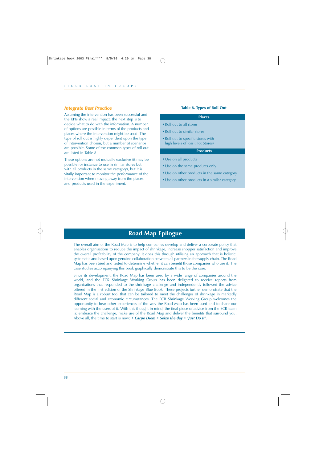#### *Integrate Best Practice*

Assuming the intervention has been successful and the KPIs show a real impact, the next step is to decide what to do with the information. A number of options are possible in terms of the products and places where the intervention might be used. The type of roll out is highly dependent upon the type of intervention chosen, but a number of scenarios are possible. Some of the common types of roll out are listed in Table 8.

These options are not mutually exclusive (it may be possible for instance to use in similar stores but with all products in the same category), but it is vitally important to monitor the performance of the intervention when moving away from the places and products used in the experiment.

#### Table 8. Types of Roll Out

#### Places

- •Roll out to all stores
- Roll out to similar stores
- •Roll out to specific stores with high levels of loss (Hot Stores)

#### **Products**

- •Use on all products
- •Use on the same products only
- Use on other products in the same category
- •Use on other products in a similar category

#### **Road Map Epilogue**

The overall aim of the Road Map is to help companies develop and deliver a corporate policy that enables organisations to reduce the impact of shrinkage, increase shopper satisfaction and improve the overall profitability of the company. It does this through utilising an approach that is holistic, systematic and based upon genuine collaboration between all partners in the supply chain. The Road Map has been tried and tested to determine whether it can benefit those companies who use it. The case studies accompanying this book graphically demonstrate this to be the case.

Since its development, the Road Map has been used by a wide range of companies around the world, and the ECR Shrinkage Working Group has been delighted to receive reports from organisations that responded to the shrinkage challenge and independently followed the advice offered in the first edition of the Shrinkage Blue Book. These projects further demonstrate that the Road Map is a robust tool that can be tailored to meet the challenges of shrinkage in markedly different social and economic circumstances. The ECR Shrinkage Working Group welcomes the opportunity to hear other experiences of the way the Road Map has been used and to share our learning with the users of it. With this thought in mind, the final piece of advice from the ECR team is: embrace the challenge, make use of the Road Map and deliver the benefits that surround you. Above all, the time to start is now: *• Carpe Diem • Seize the day • 'Just Do It'*.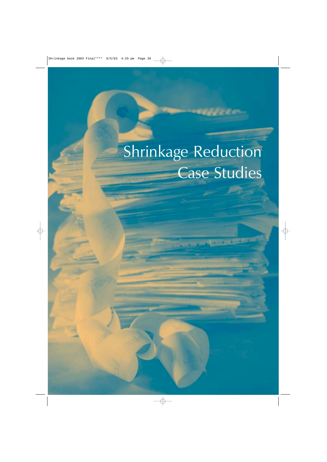# Shrinkage Reduction Case Studies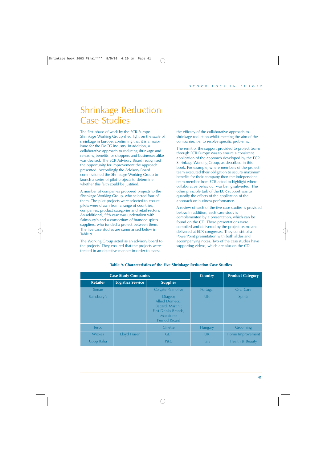## Shrinkage Reduction Case Studies

The first phase of work by the ECR Europe Shrinkage Working Group shed light on the scale of shrinkage in Europe, confirming that it is a major issue for the FMCG industry. In addition, a collaborative approach to reducing shrinkage and releasing benefits for shoppers and businesses alike was devised. The ECR Advisory Board recognised the opportunity for improvement the approach presented. Accordingly the Advisory Board commissioned the Shrinkage Working Group to launch a series of pilot projects to determine whether this faith could be justified.

A number of companies proposed projects to the Shrinkage Working Group, who selected four of them. The pilot projects were selected to ensure pilots were drawn from a range of countries, companies, product categories and retail sectors. An additional, fifth case was undertaken with Sainsbury's and a consortium of branded spirits suppliers, who funded a project between them. The five case studies are summarised below in Table 9.

The Working Group acted as an advisory board to the projects. They ensured that the projects were treated in an objective manner in order to assess

the efficacy of the collaborative approach to shrinkage reduction whilst meeting the aim of the companies, i.e. to resolve specific problems.

The remit of the support provided to project teams through ECR Europe was to ensure a consistent application of the approach developed by the ECR Shrinkage Working Group, as described in this book. For example, where members of the project team executed their obligation to secure maximum benefits for their company then the independent team member from ECR acted to highlight where collaborative behaviour was being subverted. The other principle task of the ECR support was to quantify the effects of the application of the approach on business performance.

A review of each of the five case studies is provided below. In addition, each case study is complemented by a presentation, which can be found on the CD. These presentations were compiled and delivered by the project teams and delivered at ECR congresses. They consist of a PowerPoint presentation with both slides and accompanying notes. Two of the case studies have supporting videos, which are also on the CD.

| <b>Case Study Companies</b> |                          |                                                                                                                         | <b>Country</b> | <b>Product Category</b>    |
|-----------------------------|--------------------------|-------------------------------------------------------------------------------------------------------------------------|----------------|----------------------------|
| <b>Retailer</b>             | <b>Logistics Service</b> | <b>Supplier</b>                                                                                                         |                |                            |
| Sonae                       |                          | <b>Colgate Palmolive</b>                                                                                                | Portugal       | <b>Oral Care</b>           |
| Sainsbury's                 |                          | Diageo;<br><b>Allied Domecq;</b><br>Bacardi Martini;<br><b>First Drinks Brands;</b><br>Maxxium;<br><b>Pernod Ricard</b> | UK             | <b>Spirits</b>             |
| Tesco                       |                          | <b>Gillette</b>                                                                                                         | Hungary        | <b>Grooming</b>            |
| <b>Wickes</b>               | Lloyd Fraser             | <b>GET</b>                                                                                                              | <b>UK</b>      | Home Improvement           |
| Coop Italia                 |                          | P&G                                                                                                                     | Italy          | <b>Health &amp; Beauty</b> |

#### Table 9. Characteristics of the Five Shrinkage Reduction Case Studies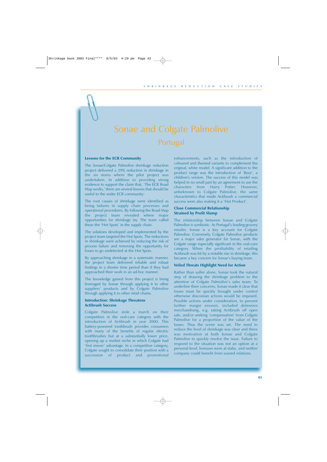## Sonae and Colgate Palmolive Portugal

#### Lessons for the ECR Community

The Sonae/Colgate Palmolive shrinkage reduction project delivered a 29% reduction in shrinkage in the six stores where the pilot project was undertaken. In addition to providing strong evidence to support the claim that, 'The ECR Road Map works,' there are several lessons that should be useful to the wider ECR community:

The root causes of shrinkage were identified as being failures in supply chain processes and operational procedures. By following the Road Map the project team revealed where major opportunities for shrinkage lay. The team called these the 'Hot Spots' in the supply chain.

The solutions developed and implemented by the project team targeted the Hot Spots. The reductions in shrinkage were achieved by reducing the risk of process failure and removing the opportunity for losses to go undetected at the Hot Spots.

By approaching shrinkage in a systematic manner, the project team delivered reliable and robust findings in a shorter time period than if they had approached their work in an ad-hoc manner.

The knowledge gained from this project is being leveraged by Sonae through applying it to other suppliers' products and by Colgate Palmolive through applying it to other retail chains.

#### Introduction: Shrinkage Threatens Actibrush Success

Colgate Palmolive stole a march on their competitors in the oral-care category with the introduction of Actibrush in year 2000. This battery-powered toothbrush provides consumers with many of the benefits of regular electric toothbrushes but at a substantially lower price, opening up a market niche in which Colgate had 'first mover' advantage. In a competitive category, Colgate sought to consolidate their position with a succession of product and promotional

enhancements, such as the introduction of coloured and themed variants to complement the original, white model. A significant addition to the product range was the introduction of 'Bzzz', a children's version. The success of this model was helped in no small part by an agreement to use the characters from Harry Potter. However, unbeknown to Colgate Palmolive, the same characteristics that made Actibrush a commercial success were also making it a 'Hot Product'.

#### Close Commercial Relationship Strained by Profit Slump

The relationship between Sonae and Colgate Palmolive is symbiotic. As Portugal's leading grocery retailer, Sonae is a key account for Colgate Palmolive. Conversely, Colgate Palmolive products are a major sales generator for Sonae, with the Colgate range especially significant in the oral-care category. When the profitability of retailing Actibrush was hit by a notable rise in shrinkage, this became a key concern for Sonae's buying team.

#### Veiled Threats Highlight Need for Action

Rather than suffer alone, Sonae took the natural step of drawing the shrinkage problem to the attention of Colgate Palmolive's sales team. To underline their concerns, Sonae made it clear that losses must be quickly brought under control otherwise draconian actions would be imposed. Possible actions under consideration, to prevent further margin erosion, included defensive merchandising, e.g. taking Actibrush off open sale, and/or seeking 'compensation' from Colgate Palmolive for a proportion of the value of the losses. Thus the scene was set. The need to reduce the level of shrinkage was clear and there was motivation at both Sonae and Colgate Palmolive to quickly resolve the issue. Failure to respond to the situation was not an option at a personal level, bonuses were at stake, and neither company could benefit from soured relations.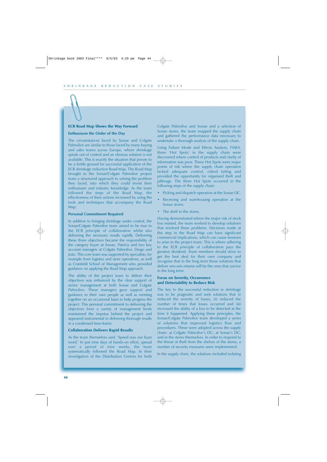#### ECR Road Map Shows the Way Forward

#### **Enthusiasm the Order of the Day**

The circumstances faced by Sonae and Colgate Palmolive are similar to those faced by many buying and sales teams across Europe, where shrinkage spirals out of control and an obvious solution is not available. This is exactly the situation that proves to be a fertile ground for successful application of the ECR shrinkage reduction Road Map. The Road Map brought to the Sonae/Colgate Palmolive project team a structured approach to solving the problem they faced, into which they could invest their enthusiasm and industry knowledge. As the team followed the steps of the Road Map, the effectiveness of their actions increased by using the tools and techniques that accompany the Road Map.

#### **Personal Commitment Required**

In addition to bringing shrinkage under control, the Sonae/Colgate Palmolive team aimed to be true to the ECR principle of collaboration whilst also delivering the necessary results rapidly. Delivering these three objectives became the responsibility of the category buyer at Sonae, Patrícia and two key account managers at Colgate Palmolive, Diogo and João. This core team was supported by specialists, for example from logistics and store operations, as well as Cranfield School of Management who provided guidance on applying the Road Map approach.

The ability of the project team to deliver their objectives was enhanced by the clear support of senior management at both Sonae and Colgate Palmolive. These managers gave support and guidance to their own people as well as meeting together on an occasional basis to help progress the project. This personal commitment to delivering the objectives from a variety of management levels maintained the impetus behind the project and appeared instrumental in delivering thorough results in a condensed time-frame.

#### Collaboration Delivers Rapid Results

As the team themselves said, 'Speed was our buzz word.' In just nine days of hands-on effort, spread over a period of nine weeks, the team systematically followed the Road Map. In their investigation of the Distribution Centres for both

Colgate Palmolive and Sonae and a selection of Sonae stores, the team mapped the supply chain and gathered the performance data necessary to undertake a thorough analysis of the supply chain.

Using Failure Mode and Effects Analysis, FMEA, three 'Hot Spots' in the supply chain were discovered where control of products and clarity of information was poor. These Hot Spots were major points of risk where the supply chain operation lacked adequate control, risked failing and provided the opportunity for organised theft and pilferage. The three Hot Spots occurred in the following steps of the supply chain:

- Picking and dispatch operation at the Sonae DC.
- Receiving and warehousing operation at the Sonae stores.
- The shelf in the stores.

Having demonstrated where the major risk of stock loss existed, the team worked to develop solutions that resolved these problems. Decisions made at this step in the Road Map can have significant commercial implications, which can cause tensions to arise in the project team. This is where adhering to the ECR principle of collaboration pays the greatest dividend. Team members should strive to get the best deal for their own company and recognise that in the long term those solutions that deliver win-win returns will be the ones that survive in the long term.

#### Focus on Severity, Occurrence and Detectability to Reduce Risk

The key to the successful reduction in shrinkage was to be pragmatic and seek solutions that (i) reduced the severity of losses, (ii) reduced the number of times that losses occurred and (iii) increased the ability of a loss to be detected at the time it happened. Applying these principles, the Sonae/Colgate Palmolive team developed a series of solutions that improved logistics flow and procedures. These were adopted across the supply chain: at Colgate Palmolive's DC; at Sonae's DC; and in the stores themselves. In order to respond to the threat of theft from the shelves of the stores, a number of security measures were implemented.

In the supply chain, the solutions included isolating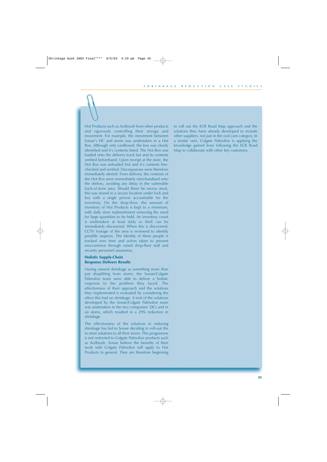Hot Products such as Actibrush from other products and rigorously controlling their storage and movement. For example, the movement between Sonae's DC and stores was undertaken in a Hot Box. Although only cardboard, the box was clearly identified and it's contents listed. The Hot Box was loaded onto the delivery truck last and its contents verified beforehand. Upon receipt at the store, the Hot Box was unloaded first and it's contents linechecked and verified. Discrepancies were therefore immediately alerted. From delivery, the contents of the Hot Box were immediately merchandised onto the shelves, avoiding any delay in the vulnerable back-of-store area. Should there be excess stock, this was stored in a secure location under lock and key with a single person accountable for the inventory. On the shop-floor, the amount of inventory of Hot Products is kept to a minimum, with daily store replenishment removing the need for large quantities to be held. An inventory count is undertaken at least daily so theft can be immediately discovered. When this is discovered, CCTV footage of the area is reviewed to identify possible suspects. The identity of these people is tracked over time and action taken to prevent reoccurrence through raised shop-floor staff and security personnel awareness.

#### Holistic Supply-Chain Response Delivers Results

Having viewed shrinkage as something more than just shoplifting from stores, the Sonae/Colgate Palmolive team were able to deliver a holistic response to the problem they faced. The effectiveness of their approach and the solutions they implemented is evaluated by considering the effect this had on shrinkage. A trial of the solutions developed by the Sonae/Colgate Palmolive team was undertaken in the two companies' DCs and in six stores, which resulted in a 29% reduction in shrinkage.

The effectiveness of the solutions in reducing shrinkage has led to Sonae deciding to roll-out the in-store solutions to all their stores. This programme is not restricted to Colgate Palmolive products such as Actibrush. Sonae believe the benefits of their work with Colgate Palmolive will apply to Hot Products in general. They are therefore beginning

to roll out the ECR Road Map approach and the solutions they have already developed to include other suppliers, not just in the oral-care category. In a similar vein, Colgate Palmolive is applying the knowledge gained from following the ECR Road Map to collaborate with other key customers.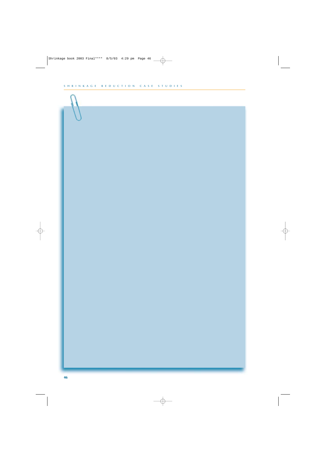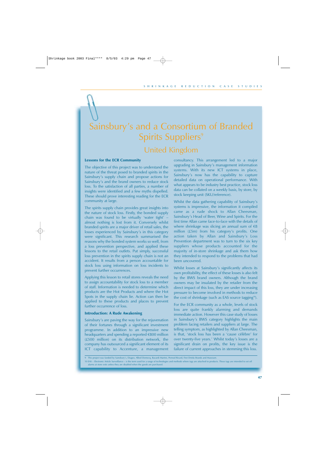## Sainsbury's and a Consortium of Branded Spirits Suppliers<sup>9</sup>

## United Kingdom

#### Lessons for the ECR Community

The objective of this project was to understand the nature of the threat posed to branded spirits in the Sainsbury's supply chain and propose actions for Sainsbury's and the brand owners to reduce stock loss. To the satisfaction of all parties, a number of insights were identified and a few myths dispelled. These should prove interesting reading for the ECR community at large.

The spirits supply chain provides great insights into the nature of stock loss. Firstly, the bonded supply chain was found to be virtually 'water tight' – almost nothing is lost from it. Conversely whilst branded spirits are a major driver of retail sales, the losses experienced by Sainsbury's in this category were significant. This research summarised the reasons why the bonded system works so well, from a loss prevention perspective, and applied these lessons to the retail outlets. Put simply, successful loss prevention in the spirits supply chain is not an accident. It results from a person accountable for stock loss using information on loss incidents to prevent further occurrences.

Applying this lesson to retail stores reveals the need to assign accountability for stock loss to a member of staff. Information is needed to determine which products are the Hot Products and where the Hot Spots in the supply chain lie. Action can then be applied to these products and places to prevent further occurrence of loss.

#### Introduction: A Rude Awakening

Sainsbury's are paving the way for the rejuvenation of their fortunes through a significant investment programme. In addition to an impressive new headquarters and spending a reported €800 million (£500 million) on its distribution network, the company has outsourced a significant element of its ICT capability to Accenture, a management consultancy. This arrangement led to a major upgrading in Sainsbury's management information systems. With its new ICT systems in place, Sainsbury's now has the capability to capture detailed data on operational performance. With what appears to be industry best practice, stock loss data can be collated on a weekly basis, by store, by stock keeping unit (SKU/reference).

Whilst the data gathering capability of Sainsbury's systems is impressive, the information it compiled came as a rude shock to Allan Cheesman, Sainsbury's Head of Beer, Wine and Spirits. For the first time Allan came face-to-face with the details of where shrinkage was slicing an annual sum of  $\epsilon$ 8 million (£5m) from his category's profits. One action taken by Allan and Sainsbury's Loss Prevention department was to turn to the six key suppliers whose products accounted for the majority of in-store shrinkage and ask them how they intended to respond to the problems that had been uncovered.

Whilst losses at Sainsbury's significantly affects its own profitability, the effect of these losses is also felt by the BWS brand owners. Although the brand owners may be insulated by the retailer from the direct impact of this loss, they are under increasing pressure to become involved in methods to reduce the cost of shrinkage (such as EAS source tagging<sup>10</sup>).

For the ECR community as a whole, levels of stock loss are quite frankly alarming and demands immediate action. However this case study of losses in Sainsbury's BWS category highlights the main problem facing retailers and suppliers at large. The telling symptom, as highlighted by Allan Cheesman, is that, 'stock loss has been a 'cause célèbre' for over twenty-five years.' Whilst today's losses are a significant drain on profits, the key issue is the failure of current approaches in stemming this loss.

<sup>9</sup> This project was funded by Sainsbury's, Diageo, Allied Domecq, Bacardi Martini, Pernod Ricard, First Drinks Brands and Maxxium.

<sup>10</sup> EAS – Electronic Article Surveillance – is the term used for a range of technologies and methods where tags are attached to products. These tags are intended to set off alarms at store exits unless they are disabled when the goods are purchased.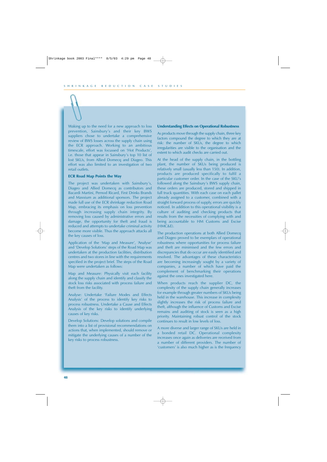Waking up to the need for a new approach to loss prevention, Sainsbury's and their key BWS suppliers chose to undertake a comprehensive review of BWS losses across the supply chain using the ECR approach. Working to an ambitious timescale, effort was focussed on 'Hot Products', i.e. those that appear in Sainsbury's top 10 list of lost SKUs, from Allied Domecq and Diageo. This effort was also limited to an investigation of two retail outlets.

#### ECR Road Map Points the Way

The project was undertaken with Sainsbury's, Diageo and Allied Domecq as contributors and Bacardi Martini, Pernod Ricard, First Drinks Brands and Maxxium as additional sponsors. The project made full use of the ECR shrinkage reduction Road Map, embracing its emphasis on loss prevention through increasing supply chain integrity. By removing loss caused by administrative errors and damage, the opportunity for theft and fraud is reduced and attempts to undertake criminal activity become more visible. Thus the approach attacks all the key causes of loss.

Application of the 'Map and Measure', 'Analyse' and 'Develop Solutions' steps of the Road Map was undertaken at the production facilities, distribution centres and two stores in line with the requirements specified in the project brief. The steps of the Road Map were undertaken as follows:

Map and Measure: Physically visit each facility along the supply chain and identify and classify the stock loss risks associated with process failure and theft from the facility.

Analyse: Undertake 'Failure Modes and Effects Analysis' of the process to identify key risks to process robustness. Undertake a Cause and Effects Analysis of the key risks to identify underlying causes of key risks.

Develop Solutions: Develop solutions and compile them into a list of provisional recommendations on actions that, when implemented, should remove or mitigate the underlying causes of a number of the key risks to process robustness.

#### Understanding Effects on Operational Robustness

As products move through the supply chain, three key factors compound the degree to which they are at risk: the number of SKUs, the degree to which irregularities are visible to the organisation and the extent to which audit checks are carried out.

At the head of the supply chain, in the bottling plant, the number of SKUs being produced is relatively small (usually less than 150). In addition, products are produced specifically to fulfil a particular customer order. In the case of the SKU's followed along the Sainsbury's BWS supply chain, these orders are produced, stored and shipped in full truck quantities. With each case on each pallet already assigned to a customer, combined with a straight forward process of supply, errors are quickly noticed. In addition to this operational visibility is a culture of auditing and checking products that results from the necessities of complying with and being accountable to HM Customs and Excise (HMC&E).

The production operations at both Allied Domecq and Diageo proved to be exemplars of operational robustness where opportunities for process failure and theft are minimised and the few errors and discrepancies that do occur are easily identified and resolved. The advantages of these characteristics are becoming increasingly sought by a variety of companies, a number of which have paid the complement of benchmarking their operations against the ones investigated here.

When products reach the supplier DC, the complexity of the supply chain generally increases for example through greater numbers of SKUs being held in the warehouse. This increase in complexity slightly increases the risk of process failure and theft, although the influence of Customs and Excise remains and auditing of stock is seen as a high priority. Maintaining robust control of the stock continues to result in low levels of loss.

A more diverse and larger range of SKUs are held in a bonded retail DC. Operational complexity increases once again as deliveries are received from a number of different providers. The number of 'customers' is also much higher as is the frequency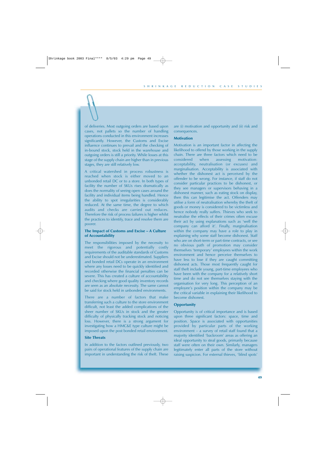of deliveries. Most outgoing orders are based upon cases, not pallets so the number of handling operations conducted in this environment increases significantly. However, the Customs and Excise influence continues to prevail and the checking of in-bound stock, stock held in the warehouse and outgoing orders is still a priority. While losses at this stage of the supply chain are higher than in previous stages, they are still relatively low.

A critical watershed in process robustness is reached when stock is either moved to an unbonded retail DC or to a store. In both types of facility the number of SKUs rises dramatically as does the normality of seeing open cases around the facility and individual items being handled. Hence the ability to spot irregularities is considerably reduced. At the same time, the degree to which audits and checks are carried out reduces. Therefore the risk of process failures is higher whilst the practices to identify, trace and resolve them are poorer.

#### The Impact of Customs and Excise – A Culture of Accountability

The responsibilities imposed by the necessity to meet the rigorous and potentially costly requirements of the auditable standards of Customs and Excise should not be underestimated. Suppliers and bonded retail DCs operate in an environment where any losses need to be quickly identified and recorded otherwise the financial penalties can be severe. This has created a culture of accountability and checking where good quality inventory records are seen as an absolute necessity. The same cannot be said for stock held in unbonded environments.

There are a number of factors that make transferring such a culture to the store environment difficult, not least the added complications of the sheer number of SKUs in stock and the greater difficulty of physically tracking stock and noticing loss. However, there is a strong argument for investigating how a HMC&E type culture might be imposed upon the post bonded retail environment.

#### Site Threats

In addition to the factors outlined previously, two pairs of operational features of the supply chain are important in understanding the risk of theft. These are (i) motivation and opportunity and (ii) risk and consequences.

#### **Motivation**

Motivation is an important factor in affecting the likelihood to offend by those working in the supply chain. There are three factors which need to be considered when assessing motivation: acceptability, neutralisation (or excuses) and marginalisation. Acceptability is associated with whether the dishonest act is perceived by the offender to be wrong. For instance, if staff do not consider particular practices to be dishonest, or they see managers or supervisors behaving in a dishonest manner, such as eating stock on display, then this can legitimise the act. Offenders may utilise a form of neutralisation whereby the theft of goods or money is considered to be victimless and hence nobody really suffers. Thieves who seek to neutralise the effects of their crimes often excuse their act by using explanations such as 'well the company can afford it'. Finally, marginalisation within the company may have a role to play in explaining why some staff become dishonest. Staff who are on short-term or part-time contracts, or see no obvious path of promotion may consider themselves 'temporary' employees within the work environment and hence perceive themselves to have less to lose if they are caught committing dishonest acts. Those most frequently caught for staff theft include young, part-time employees who have been with the company for a relatively short time and do not see themselves staying with the organisation for very long. This perception of an employee's position within the company may be the critical variable in explaining their likelihood to become dishonest.

#### **Opportunity**

Opportunity is of critical importance and is based upon three significant factors: space, time and position. Space is associated with opportunities provided by particular parts of the working environment – a survey of retail staff found that a majority identified 'backroom' areas as offering an ideal opportunity to steal goods, primarily because staff were often on their own. Similarly, managers legitimately enter all parts of the store without raising suspicion. For external thieves, 'blind spots'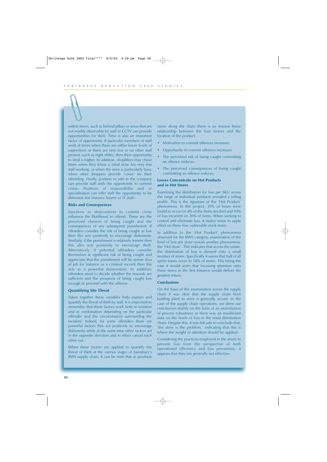within stores, such as behind pillars or areas that are not readily observable by staff or CCTV can provide opportunities for theft. Time is also an important factor of opportunity. If particular members of staff work at times when there are either lower levels of supervision or there are very few or no other staff present (such as night shifts), then their opportunity to steal is higher. In addition, shoplifters may chose times when they know a retail store has very few staff working, or when the store is particularly busy, when other shoppers provide 'cover' for their offending. Finally, position or role in the company can provide staff with the opportunity to commit crime. Positions of responsibility and or specialisation can offer staff the opportunity to be dishonest (for instance buyers or IT staff).

#### Risks and Consequences

Sanctions or disincentives to commit crime influence the likelihood to offend. These are the perceived chances of being caught and the consequences of any subsequent punishment. If offenders consider the risk of being caught as low then this acts positively to encourage dishonesty. Similarly, if the punishment is relatively lenient then this also acts positively to encourage theft. Alternatively, if potential offenders consider themselves at significant risk of being caught and appreciate that the punishment will be severe (loss of job for instance or a criminal record) then this acts as a powerful disincentive. In addition, offenders need to decide whether the rewards are sufficient and the prospects of being caught low enough to proceed with the offence.

#### Quantifying Site Threat

Taken together these variables help explain and quantify the threat of theft by staff. It is important to remember that these factors work both in isolation and in combination depending on the particular offender and the circumstances surrounding the incident. Indeed, for some offenders there are powerful factors that act positively to encourage dishonesty while at the same time other factors act in the opposite direction and in effect cancel each other out.

When these factors are applied to quantify the threat of theft at the various stages of Sainsbury's BWS supply chain, it can be seen that as products move along the chain there is an inverse linear relationship between the four factors and the location of the product.

- Motivation to commit offences increases.
- Opportunity to commit offences increases.
- The perceived risk of being caught committing an offence reduces.
- The perceived consequences of being caught committing an offence reduces.

#### Losses Concentrate on Hot Products and in Hot Stores

Examining the distribution for loss per SKU across the range of individual products revealed a telling profile. This is the signature of the 'Hot Product' phenomena. In this project, 30% of losses were found to occur on 8% of the items stocked and 50% of loss incurred on 20% of items. When seeking to control and eliminate loss, it makes sense to apply effort on these few, vulnerable stock items

In addition to the 'Hot Product' phenomena observed for the BWS category, examination of the level of loss per store reveals another phenomena: the 'Hot Store'. This indicates that across the estate, the distribution of loss is skewed onto a small number of stores. Specifically it seems that half of all spirits losses occur in 18% of stores. This being the case it would seem that focussing attention onto these stores in the first instance would deliver the greatest return.

#### **Conclusions**

On the basis of this examination across the supply chain it was clear that the supply chain from bottling plant to store is generally secure. In the case of the supply chain operations, we drew our conclusions mainly on the basis of an examination of process robustness as there was an insufficient data on the levels of loss in the retail distribution chain. Despite this, it was felt safe to conclude that, 'the store is the problem,' indicating that this is where the weight of attention should be applied.

Considering the practices employed in the stores to prevent loss from the perspective of both operational efficiency and loss prevention, it appears that they are generally not effective.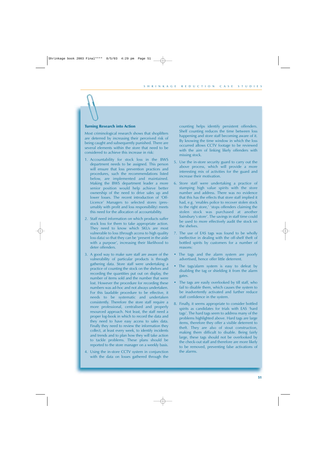#### Turning Research into Action

Most criminological research shows that shoplifters are deterred by increasing their perceived risk of being caught and subsequently punished. There are several elements within the store that need to be considered to achieve this increase in risk:

- 1. Accountability for stock loss in the BWS department needs to be assigned. This person will ensure that loss prevention practices and procedures, such the recommendations listed below, are implemented and maintained. Making the BWS department leader a more senior position would help achieve better ownership of the need to drive sales up and lower losses. The recent introduction of 'Off-Licence' Managers to selected stores (presumably with profit and loss responsibility) meets this need for the allocation of accountability.
- 2. Staff need information on which products suffer stock loss for them to take appropriate action. They need to know which SKUs are most vulnerable to loss (through access to high quality loss data) so that they can be 'present in the aisle with a purpose', increasing their likelihood to deter offenders.
- 3. A good way to make sure staff are aware of the vulnerability of particular products is through gathering data. Store staff were undertaking a practice of counting the stock on the shelves and recording the quantities put out on display, the number of items sold and the number that were lost. However the procedure for recording these numbers was ad-hoc and not always undertaken. For this laudable procedure to be effective, it needs to be systematic and undertaken consistently. Therefore the store staff require a more professional, centralised and properly resourced approach. Not least, the staff need a proper log-book in which to record the data and they need to have easy access to sales data. Finally they need to review the information they collect, at least every week, to identify incidents and trends and to plan how they will take action to tackle problems. These plans should be reported to the store manager on a weekly basis.
- 4. Using the in-store CCTV system in conjunction with the data on losses gathered through the

counting helps identify persistent offenders. Shelf counting reduces the time between loss happening and store staff becoming aware of it. By knowing the time window in which the loss occurred allows CCTV footage to be reviewed with the aim of linking likely offenders with missing stock.

- 5. Use the in-store security guard to carry out the above process, which will provide a more interesting mix of activities for the guard and increase their motivation.
- 6. Store staff were undertaking a practice of stamping high value spirits with the store number and address. There was no evidence that this has the effects that store staff implied it had, e.g. 'enables police to recover stolen stock to the right store,' 'stops offenders claiming the stolen stock was purchased at another Sainsbury's store'. The savings in staff time could be used to more effectively audit the stock on the shelves.
- 7. The use of EAS tags was found to be wholly ineffective in dealing with the off-shelf theft of bottled spirits by customers for a number of reasons:
- The tags and the alarm system are poorly advertised, hence offer little deterrent.
- The tags/alarm system is easy to defeat by disabling the tag or shielding it from the alarm gates.
- The tags are easily overlooked by till staff, who fail to disable them, which causes the system to be inadvertently activated and further reduce staff confidence in the system.
- 8. Finally, it seems appropriate to consider bottled spirits as candidates for trials with EAS 'hard tags'. The hard tags seem to address many of the problems highlighted above. Hard tags are large items, therefore they offer a visible deterrent to theft. They are also of stout construction, making them difficult to disable. Being fairly large, these tags should not be overlooked by the check-out staff and therefore are more likely to be removed, preventing false activations of the alarms.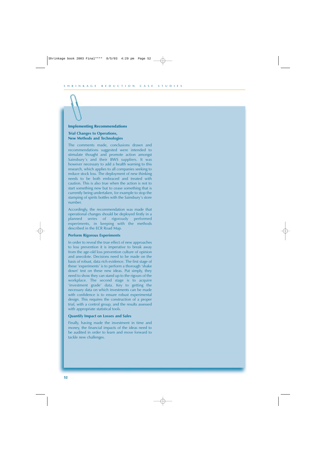#### Implementing Recommendations

#### **Trial Changes to Operations, New Methods and Technologies**

The comments made, conclusions drawn and recommendations suggested were intended to stimulate thought and promote action amongst Sainsbury's and their BWS suppliers. It was however necessary to add a health warning to this research, which applies to all companies seeking to reduce stock loss. The deployment of new thinking needs to be both embraced and treated with caution. This is also true when the action is not to start something new but to cease something that is currently being undertaken, for example to stop the stamping of spirits bottles with the Sainsbury's store number.

Accordingly, the recommendation was made that operational changes should be deployed firstly in a planned series of rigorously performed experiments, in keeping with the methods described in the ECR Road Map.

#### **Perform Rigorous Experiments**

In order to reveal the true effect of new approaches to loss prevention it is imperative to break away from the age-old loss prevention culture of opinion and anecdote. Decisions need to be made on the basis of robust, data rich evidence. The first stage of these 'experiments' is to perform a thorough 'shake down' test on these new ideas. Put simply, they need to show they can stand up to the rigours of the workplace. The second stage is to acquire 'investment grade' data. Key to getting the necessary data on which investments can be made with confidence is to ensure robust experimental design. This requires the construction of a proper trial, with a control group, and the results assessed with appropriate statistical tools.

#### **Quantify Impact on Losses and Sales**

Finally, having made the investment in time and money, the financial impacts of the ideas need to be audited in order to learn and move forward to tackle new challenges.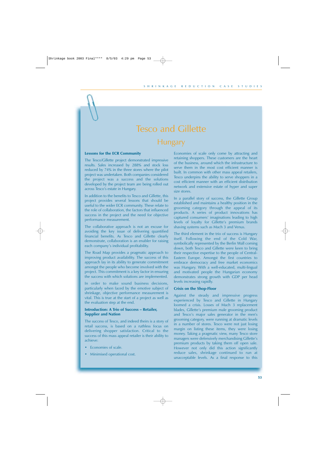## Tesco and Gillette

### Hungary

#### Lessons for the ECR Community

The Tesco/Gillette project demonstrated impressive results. Sales increased by 288% and stock loss reduced by 74% in the three stores where the pilot project was undertaken. Both companies considered the project was a success and the solutions developed by the project team are being rolled out across Tesco's estate in Hungary.

In addition to the benefits to Tesco and Gillette, this project provides several lessons that should be useful to the wider ECR community. These relate to the role of collaboration, the factors that influenced success in the project and the need for objective performance measurement.

The collaborative approach is not an excuse for avoiding the key issue of delivering quantified financial benefits. As Tesco and Gillette clearly demonstrate, collaboration is an enabler for raising each company's individual profitability.

The Road Map provides a pragmatic approach to improving product availability. The success of this approach lay in its ability to generate commitment amongst the people who become involved with the project. This commitment is a key factor in ensuring the success with which solutions are implemented.

In order to make sound business decisions, particularly when faced by the emotive subject of shrinkage, objective performance measurement is vital. This is true at the start of a project as well as the evaluation step at the end.

#### Introduction: A Trio of Success – Retailer, Supplier and Nation

The success of Tesco, and indeed theirs is a story of retail success, is based on a ruthless focus on delivering shopper satisfaction. Critical to the success of this mass appeal retailer is their ability to achieve:

- Economies of scale.
- Minimised operational cost.

Economies of scale only come by attracting and retaining shoppers. These customers are the heart of the business, around which the infrastructure to serve them in the most cost efficient manner is built. In common with other mass appeal retailers, Tesco underpins the ability to serve shoppers in a cost efficient manner with an efficient distribution network and extensive estate of hyper and super size stores.

In a parallel story of success, the Gillette Group established and maintains a healthy position in the grooming category through the appeal of its products. A series of product innovations has captured consumers' imaginations leading to high levels of loyalty for Gillette's premium brands shaving systems such as Mach 3 and Venus.

The third element in the trio of success is Hungary itself. Following the end of the Cold War, symbolically represented by the Berlin Wall coming down, both Tesco and Gillette were keen to bring their respective expertise to the people of Central-Eastern Europe. Amongst the first countries to embrace democracy and free market economics was Hungary. With a well-educated, multi-lingual and motivated people the Hungarian economy demonstrates strong growth with GDP per head levels increasing rapidly.

#### Crisis on the Shop-Floor

Against the steady and impressive progress experienced by Tesco and Gillette in Hungary loomed a crisis. Losses of Mach 3 replacement blades, Gillette's premium male grooming product and Tesco's major sales generator in the men's grooming category, were running at dramatic levels in a number of stores. Tesco were not just losing margin on listing these items, they were losing money. Taking a pragmatic view, many Tesco store managers were defensively merchandising Gillette's premium products by taking them off open sale. However not only did this action significantly reduce sales, shrinkage continued to run at unacceptable levels. As a final response to this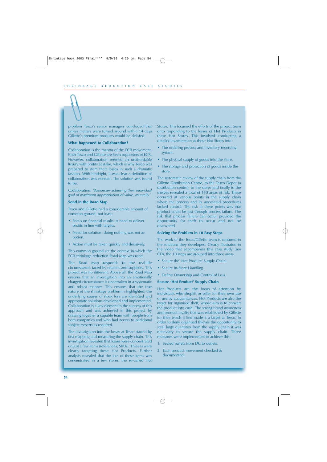problem Tesco's senior managers concluded that unless matters were turned around within 14 days Gillette's premium products would be delisted.

#### What happened to Collaboration?

Collaboration is the mantra of the ECR movement. Both Tesco and Gillette are keen supporters of ECR. However, collaboration seemed an unaffordable luxury with profits at stake, which is why Tesco was prepared to stem their losses in such a dramatic fashion. With hindsight, it was clear a definition of collaboration was needed. The solution was found to be:

Collaboration: *'Businesses achieving their individual goal of maximum appropriation of value, mutually.'*

#### Send in the Road Map

Tesco and Gillette had a considerable amount of common ground, not least:

- Focus on financial results: A need to deliver profits in line with targets.
- Need for solution: doing nothing was not an option.
- Action must be taken quickly and decisively.

This common ground set the context in which the ECR shrinkage reduction Road Map was used.

The Road Map responds to the real-life circumstances faced by retailers and suppliers. This project was no different. Above all, the Road Map ensures that an investigation into an emotionally charged circumstance is undertaken in a systematic and robust manner. This ensures that the true nature of the shrinkage problem is highlighted, the underlying causes of stock loss are identified and appropriate solutions developed and implemented. Collaboration is a key element in the success of this approach and was achieved in this project by drawing together a capable team with people from both companies and who had access to additional subject experts as required.

The investigation into the losses at Tesco started by first mapping and measuring the supply chain. This investigation revealed that losses were concentrated on just a few items (references; SKUs). Thieves were clearly targeting these Hot Products. Further analysis revealed that the loss of these items was concentrated in a few stores, the so-called Hot

Stores. This focussed the efforts of the project team onto responding to the losses of Hot Products in these Hot Stores. This involved conducting a detailed examination at these Hot Stores into:

- The ordering process and inventory recording system.
- The physical supply of goods into the store.
- The storage and protection of goods inside the store.

The systematic review of the supply chain from the Gillette Distribution Centre, to the Tesco Depot (a distribution centre), to the stores and finally to the shelves revealed a total of 150 areas of risk. These occurred at various points in the supply chain where the process and its associated procedures lacked control. The risk at these points was that product could be lost through process failure. The risk that process failure can occur provided the opportunity for theft to occur and not be discovered.

#### Solving the Problem in 10 Easy Steps

The work of the Tesco/Gillette team is captured in the solutions they developed. Clearly illustrated in the video that accompanies this case study (see CD), the 10 steps are grouped into three areas:

- Secure the 'Hot Product' Supply Chain.
- Secure In-Store Handling.
- Define Ownership and Control of Loss.

#### Secure 'Hot Product' Supply Chain

Hot Products are the focus of attention by individuals who shoplift or pilfer for their own use or use by acquaintances. Hot Products are also the target for organised theft, whose aim is to convert the product into cash. The strong brand awareness and product loyalty that was established by Gillette for their Mach 3 line made it a target at Tesco. In order to deny organised thieves the opportunity to steal large quantities from the supply chain it was necessary to secure the supply chain. Three measures were implemented to achieve this:

- 1. Sealed pallets from DC to outlets.
- 2. Each product movement checked & documented.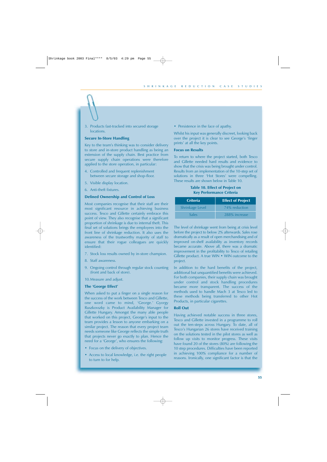3. Products fast-tracked into secured storage locations.

#### Secure In-Store Handling

Key to the team's thinking was to consider delivery to store and in-store product handling as being an extension of the supply chain. Best practice from secure supply chain operations were therefore applied to the store operation, in particular:

- 4. Controlled and frequent replenishment between secure storage and shop-floor.
- 5. Visible display location.
- 6. Anti-theft fixtures.

#### Defined Ownership and Control of Loss

Most companies recognise that their staff are their most significant resource in achieving business success. Tesco and Gillette certainly embrace this point of view. They also recognise that a significant proportion of shrinkage is due to internal theft. This final set of solutions brings the employees into the front line of shrinkage reduction. It also uses the awareness of the trustworthy majority of staff to ensure that their rogue colleagues are quickly identified:

- 7. Stock loss results owned by in-store champion.
- 8. Staff awareness.
- 9. Ongoing control through regular stock counting (front and back of store).
- 10.Measure and adjust.

#### The 'George Effect'

When asked to put a finger on a single reason for the success of the work between Tesco and Gillette, one word came to mind, 'George.' Gyorgy Ruszkovszky is Product Availability Manager for Gillette Hungary. Amongst the many able people that worked on this project, George's input to the team provides a lesson to anyone embarking on a similar project. The reason that every project team needs someone like George reflects the simple truth that projects never go exactly to plan. Hence the need for a 'George', who ensures the following:

- Focus on the delivery of objectives.
- Access to local knowledge, i.e. the right people to turn to for help.

• Persistence in the face of apathy.

Whilst his input was generally discreet, looking back over the project it is clear to see George's 'finger prints' at all the key points.

#### Focus on Results

To return to where the project started, both Tesco and Gillette needed hard results and evidence to show that the crisis was being brought under control. Results from an implementation of the 10-step set of solutions in three 'Hot Stores' were compelling. These results are shown below in Table 10.

#### Table 10. Effect of Project on Key Performance Criteria

| <b>Criteria</b> | <b>Effect of Project</b> |
|-----------------|--------------------------|
| Shrinkage Level | 74% reduction            |
| <b>Sales</b>    | 288% increase            |

The level of shrinkage went from being at crisis level before the project to below 2% afterwards. Sales rose dramatically as a result of open merchandising and of improved on-shelf availability as inventory records became accurate. Above all, there was a dramatic improvement in the profitability to Tesco of retailing Gillette product. A true WIN • WIN outcome to the project.

In addition to the hard benefits of the project, additional but unquantified benefits were achieved. For both companies, their supply chain was brought under control and stock handling procedures became more transparent. The success of the methods used to handle Mach 3 at Tesco led to these methods being transferred to other Hot Products, in particular cigarettes.

#### Roll Out

Having achieved notable success in three stores, Tesco and Gillette invested in a programme to roll out the ten-steps across Hungary. To date, all of Tesco's Hungarian 26 stores have received training on the solutions tested in the pilot stores as well as follow up visits to monitor progress. These visits have found 20 of the stores (80%) are following the 10 step procedures. Difficulties have been reported in achieving 100% compliance for a number of reasons. Ironically, one significant factor is that the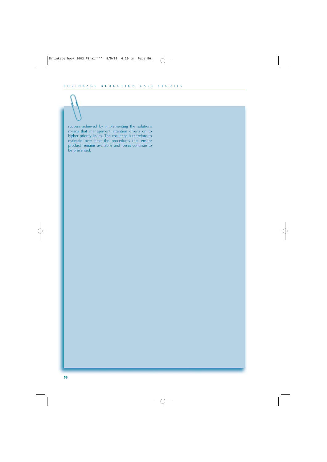success achieved by implementing the solutions means that management attention diverts on to higher priority issues. The challenge is therefore to maintain over time the procedures that ensure product remains availabile and losses continue to be prevented.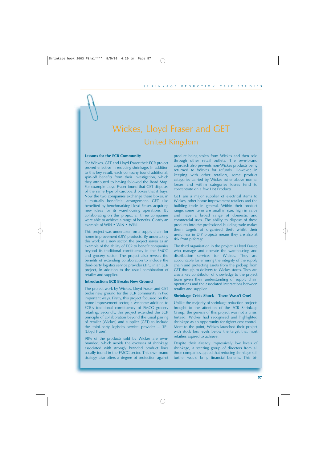## Wickes, Lloyd Fraser and GET United Kingdom

#### Lessons for the ECR Community

For Wickes, GET and Lloyd Fraser their ECR project proved effective in reducing shrinkage. In addition to this key result, each company found additional, spin-off benefits from their investigation, which they attributed to having followed the Road Map. For example Lloyd Fraser found that GET disposes of the same type of cardboard boxes that it buys. Now the two companies exchange these boxes, in a mutually beneficial arrangement. GET also benefited by benchmarking Lloyd Fraser, acquiring new ideas for its warehousing operations. By collaborating on this project all three companies were able to achieve a range of benefits. Clearly an example of WIN • WIN • WIN.

This project was undertaken on a supply chain for home improvement (DIY) products. By undertaking this work in a new sector, the project serves as an example of the ability of ECR to benefit companies beyond its traditional constituency in the FMCG and grocery sector. The project also reveals the benefits of extending collaboration to include the third-party logistics service provider (3PL) in an ECR project, in addition to the usual combination of retailer and supplier.

#### Introduction: ECR Breaks New Ground

The project work by Wickes, Lloyd Fraser and GET broke new ground for the ECR community in two important ways. Firstly, this project focussed on the home improvement sector, a welcome addition to ECR's traditional constituency of FMCG grocery retailing. Secondly, this project extended the ECR principle of collaboration beyond the usual pairing of retailer (Wickes) and supplier (GET) to include the third-party logistics service provider – 3PL (Lloyd Fraser).

98% of the products sold by Wickes are ownbranded, which avoids the excesses of shrinkage associated with strongly branded product lines usually found in the FMCG sector. This own-brand strategy also offers a degree of protection against product being stolen from Wickes and then sold through other retail outlets. The own-brand approach also prevents non-Wickes products being returned to Wickes for refunds. However, in keeping with other retailers, some product categories carried by Wickes suffer above normal losses and within categories losses tend to concentrate on a few Hot Products.

GET are a major supplier of electrical items to Wickes, other home improvement retailers and the building trade in general. Within their product range, some items are small in size, high in value and have a broad range of domestic and commercial uses. The ability to dispose of these products into the professional building trade makes them targets of organised theft whilst their usefulness in DIY projects means they are also at risk from pilferage.

The third organisation in the project is Lloyd Fraser, who manage and operate the warehousing and distribution services for Wickes. They are accountable for ensuring the integrity of the supply chain and protecting assets from the pick-up from GET through to delivery to Wickes stores. They are also a key contributor of knowledge to the project team given their understanding of supply chain operations and the associated interactions between retailer and supplier.

#### Shrinkage Crisis Shock – There Wasn't One!

Unlike the majority of shrinkage reduction projects brought to the attention of the ECR Shrinkage Group, the genesis of this project was not a crisis. Instead, Wickes had recognised and highlighted shrinkage as an opportunity for tighter cost control. More to the point, Wickes launched their project with stock loss levels below the target that most retailers aspired to achieve.

Despite their already impressively low levels of shrinkage, a steering group of directors from all three companies agreed that reducing shrinkage still further would bring financial benefits. This tri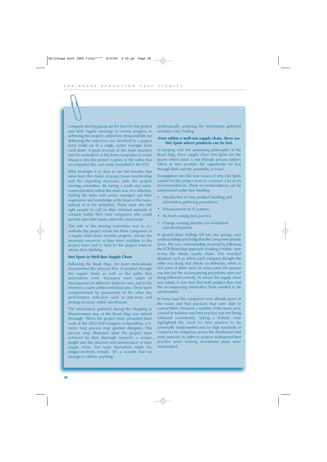company steering group set the brief for the project and held regular meetings to review progress in achieving the project's objectives. Responsibility for delivering the objectives was devolved to a project team made up of a single, senior manager from each team. A good account of this team structure and the motivation of the three companies to invest resource into the project is given in the video that accompanies this case study (included in the CD).

With hindsight it is clear to see the benefits that arose from this choice of project team membership and the reporting structures with the project steering committee. By having a small core team, communication within the team was very effective. Staffing the team with senior managers put their experience and knowledge at the heart of the team, instead of at the periphery. These were also the right people to call on their informal network of contacts within their own companies who could provide specialist inputs when the need arose.

The role of the steering committee was to coordinate the project across the three companies at a supply chain level, monitor progress, release the necessary resources so they were available to the project team and to look to the project team to inform their thinking.

#### Hot Spots in Well-Run Supply Chain

Following the Road Map, the team meticulously documented the physical flow of product through the supply chain as well as the paths that information took. Measures were taken of discrepancies in deliveries between sites and in the inventory counts within individual sites. These were complemented by assessments of the other key performance indicators such as put-away and picking accuracy within warehouses.

The information gathered during the Mapping & Measurement step of the Road Map was indeed thorough. When the project team presented their work at the 2002 ECR Congress in Barcelona, a 4 metre long process map greeted delegates. This process map illustrated what the project team achieved by their thorough research: a unique insight into the structure and performance of their supply chain. The team themselves made the tongue-in-cheek remark, 'It's a wonder that we manage to deliver anything.'

Systematically analysing the information gathered revealed a key finding:

#### Even within a well-run supply chain, there are Hot Spots where products can be lost.

In keeping with the underlying philosophy of the Road Map, these supply chain Hot Spots are the places where stock is lost through process failure, which in turn provides the opportunity for loss through theft and the possibility of fraud.

Investigation into the root causes of why Hot Spots existed led the project team to construct a list of 44 recommendations. These recommendations can be summarised under four heading:

- Introduction of new product handling and information gathering procedures.
- Enhancements to IT systems.
- Re-brief existing best practice.
- Change existing priorities for investment and development.

In general these findings fall into two groups, new understandings and things that the companies already knew. The new understanding occurred by following the ECR Road Map approach of taking a holistic view across the whole supply chain. This revealed situations such as where each company thought the other was doing vital checks on deliveries, when in fact none of them were. In some cases the process was fine but the accompanying procedures were not being followed correctly. To ensure the supply chain was robust, it was clear that both product flow and the accompanying information flows needed to be synchronised.

In many cases the companies were already aware of the issues and had practices that were able to control them. However a number of the issues were viewed in isolation and best practice was not being followed consistently. Taking a holistic view highlighted the need for best practice to be universally implemented and for high standards of control to be ubiquitous across the distribution and store network. In order to achieve widespread best practice some existing investment plans were rescheduled.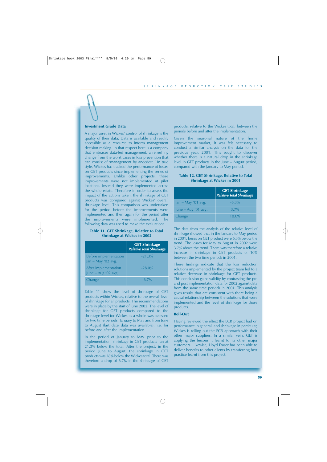

A major asset in Wickes' control of shrinkage is the quality of their data. Data is available and readily accessible as a resource to inform management decision making. In that respect here is a company that embraces data-led management, a refreshing change from the worst cases in loss prevention that can consist of 'management by anecdote.' In true style, Wickes has tracked the performance of losses on GET products since implementing the series of improvements. Unlike other projects, these improvements were not implemented at pilot locations. Instead they were implemented across the whole estate. Therefore in order to assess the impact of the actions taken, the shrinkage of GET products was compared against Wickes' overall shrinkage level. This comparison was undertaken for the period before the improvements were implemented and then again for the period after the improvements were implemented. The following data was used to make the evaluation:

#### Table 11. GET Shrinkage, Relative to Total Shrinkage at Wickes in 2002

|                                                    | <b>GET Shrinkage</b><br><b>Relative Total Shrinkage</b> |
|----------------------------------------------------|---------------------------------------------------------|
| <b>Before implementation</b><br>Jan - May '02 avg. | $-21.3%$                                                |
| After implementation<br>June - Aug '02 avg.        | $-28.0%$                                                |
| Change                                             | $-6.7\%$                                                |

Table 11 show the level of shrinkage of GET products within Wickes, relative to the overall level of shrinkage for all products. The recommendations were in place by the start of June 2002. The level of shrinkage for GET products compared to the shrinkage level for Wickes as a whole was assessed for two time periods: January to May and from June to August (last date data was available), i.e. for before and after the implementation.

In the period of January to May, prior to the implementation, shrinkage in GET products ran at 21.3% below the total. After the project, in the period June to August, the shrinkage in GET products was 28% below the Wickes total. There was therefore a drop of 6.7% in the shrinkage of GET products, relative to the Wickes total, between the periods before and after the implementation.

Given the seasonal nature of the home improvement market, it was felt necessary to conduct a similar analysis on the data for the previous year, 2001. This sought to discover whether there is a natural drop in the shrinkage level in GET products in the June – August period, compared with the January to May period.

#### Table 12. GET Shrinkage, Relative to Total Shrinkage at Wickes in 2001

|                      | <b>GET Shrinkage</b><br><b>Relative Total Shrinkage</b> |
|----------------------|---------------------------------------------------------|
| Jan $-$ May '01 avg. | $-6.3\%$                                                |
| June - Aug '01 avg.  | 3.7%                                                    |
| Change               | $10.0\%$                                                |

The data from the analysis of the relative level of shrinkage showed that in the January to May period in 2001, losses on GET product were 6.3% below the trend. The losses for May to August in 2002 were 3.7% above the trend. There was therefore a relative increase in shrinkage in GET products of 10% between the two time periods in 2001.

These findings indicate that the loss reduction solutions implemented by the project team led to a relative decrease in shrinkage for GET products. This conclusion gains validity by contrasting the pre and post implementation data for 2002 against data from the same time periods in 2001. This analysis gives results that are consistent with there being a causal relationship between the solutions that were implemented and the level of shrinkage for those products.

#### Roll-Out

Having reviewed the effect the ECR project had on performance in general, and shrinkage in particular, Wickes is rolling out the ECR approach with their other major suppliers. In a similar vein, GET is applying the lessons it learnt to its other major customers. Likewise, Lloyd Fraser has been able to deliver benefits to other clients by transferring best practice learnt from this project.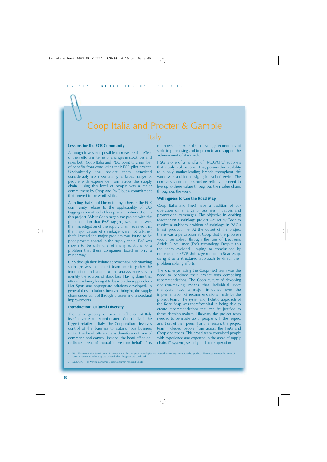## Coop Italia and Procter & Gamble Italy

#### Lessons for the ECR Community

Although it was not possible to measure the effect of their efforts in terms of changes in stock loss and sales both Coop Italia and P&G point to a number of benefits from conducting their ECR pilot project. Undoubtedly the project team benefited considerably from containing a broad range of people with experience from across the supply chain. Using this level of people was a major commitment by Coop and P&G but a commitment that proved to be worthwhile.

A finding that should be noted by others in the ECR community relates to the applicability of EAS tagging as a method of loss prevention/reduction in this project. Whist Coop began the project with the preconception that EAS<sup>6</sup> tagging was the answer, their investigation of the supply chain revealed that the major causes of shrinkage were not off-shelf theft. Instead the major problem was found to be poor process control in the supply chain. EAS was shown to be only one of many solutions to a problem that these companies faced in only a minor way.

Only through their holistic approach to understanding shrinkage was the project team able to gather the information and undertake the analysis necessary to identify the sources of stock loss. Having done this, efforts are being brought to bear on the supply chain Hot Spots and appropriate solutions developed. In general these solutions involved bringing the supply chain under control through process and procedural improvements.

#### Introduction: Cultural Diversity

The Italian grocery sector is a reflection of Italy itself: diverse and sophisticated. Coop Italia is the biggest retailer in Italy. The Coop culture devolves control of the business to autonomous business units. The head office role is therefore not one of command and control. Instead, the head office coordinates areas of mutual interest on behalf of its

members, for example to leverage economies of scale in purchasing and to promote and support the achievement of standards.

P&G is one of a handful of FMCG/CPG<sup>7</sup> suppliers that is truly multinational. They possess the capability to supply market-leading brands throughout the world with a ubiquitously, high level of service. The company's corporate structure reflects the need to live up to these values throughout their value chain, throughout the world.

#### Willingness to Use the Road Map

Coop Italia and P&G have a tradition of cooperation on a range of business initiatives and promotional campaigns. The objective in working together on a shrinkage project was set by Coop to resolve a stubborn problem of shrinkage in P&G's Infasil product line. At the outset of the project there was a perception at Coop that the problem would be solved through the use of Electronic Article Surveillance (EAS) technology. Despite this the team avoided jumping to conclusions by embracing the ECR shrinkage reduction Road Map, using it as a structured approach to direct their problem solving efforts.

The challenge facing the Coop/P&G team was the need to conclude their project with compelling recommendations. The Coop culture of devolving decision-making means that individual store managers have a major influence over the implementation of recommendations made by the project team. The systematic, holistic approach of the Road Map was therefore vital in being able to create recommendations that can be justified to these decision-makers. Likewise, the project team needed to be made up of people with the respect and trust of their peers. For this reason, the project team included people from across the P&G and Coop operations. This broad team contained people with experience and expertise in the areas of supply chain, IT systems, security and store operations.

6 EAS – Electronic Article Surveillance – is the term used for a range of technologies and methods where tags are attached to products. These tags are intended to set off alarms at store exits unless they are disabled when the goods are purchased.

7 FMCG/CPG – Fast Moving Consumer Goods/Consumer Packaged Goods.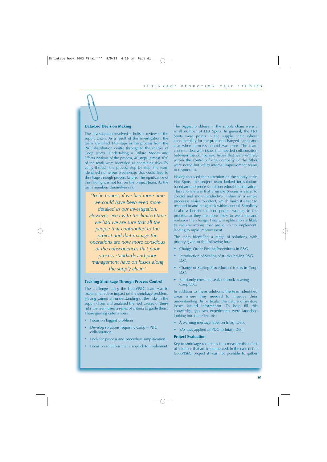#### Data-Led Decision Making

The investigation involved a holistic review of the supply chain. As a result of this investigation, the team identified 143 steps in the process from the P&G distribution centre through to the shelves of Coop stores. Undertaking a Failure Modes and Effects Analysis of the process, 40 steps (almost 30% of the total) were identified as containing risks. By going through the process step by step, the team identified numerous weaknesses that could lead to shrinkage through process failure. The significance of this finding was not lost on the project team. As the team members themselves said,

*'To be honest, if we had more time we could have been even more detailed in our investigation. However, even with the limited time we had we are sure that all the people that contributed to the project and that manage the operations are now more conscious of the consequences that poor process standards and poor management have on losses along the supply chain.'*

#### Tackling Shrinkage Through Process Control

The challenge facing the Coop/P&G team was to make an effective impact on the shrinkage problem. Having gained an understanding of the risks in the supply chain and analysed the root causes of these risks the team used a series of criteria to guide them. These guiding criteria were:

- Focus on biggest problems.
- Develop solutions requiring Coop P&G collaboration.
- Look for process and procedure simplification.
- Focus on solutions that are quick to implement.

The biggest problems in the supply chain were a small number of Hot Spots. In general, the Hot Spots were points in the supply chain where accountability for the products changed hands and also where process control was poor. The team chose to deal with issues that needed collaboration between the companies. Issues that were entirely within the control of one company or the other were noted but left to internal improvement teams to respond to.

Having focussed their attention on the supply chain Hot Spots, the project team looked for solutions based around process and procedural simplification. The rationale was that a simple process is easier to control and more productive. Failure in a simple process is easier to detect, which make it easier to respond to and bring back within control. Simplicity is also a benefit to those people working in the process, so they are more likely to welcome and embrace the change. Finally, simplification is likely to require actions that are quick to implement, leading to rapid improvement.

The team identified a range of solutions, with priority given to the following four:

- Change Order Picking Procedures in P&G.
- Introduction of Sealing of trucks leaving P&G D.C.
- Change of Sealing Procedure of trucks in Coop D.C.
- Randomly checking seals on trucks leaving Coop D.C.

In addition to these solutions, the team identified areas where they needed to improve their understanding. In particular the nature of in-store losses lacked information. To help fill this knowledge gap two experiments were launched looking into the effect of:

- A warning message label on Infasil Deo.
- EAS tags applied at P&G to Infasil Deo.

#### Project Evaluation

Key to shrinkage reduction is to measure the effect of solutions that are implemented. In the case of the Coop/P&G project it was not possible to gather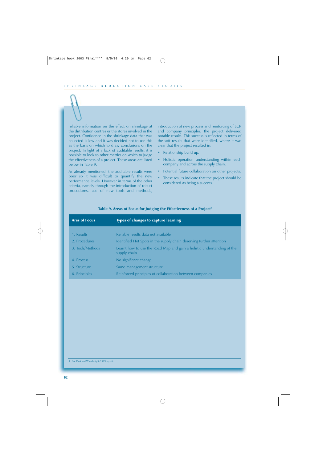reliable information on the effect on shrinkage at the distribution centres or the stores involved in the project. Confidence in the shrinkage data that was collected is low and it was decided not to use this as the basis on which to draw conclusions on the project. In light of a lack of auditable results, it is possible to look to other metrics on which to judge the effectiveness of a project. These areas are listed below in Table 9.

As already mentioned, the auditable results were poor so it was difficult to quantify the new performance levels. However in terms of the other criteria, namely through the introduction of robust procedures, use of new tools and methods,

introduction of new process and reinforcing of ECR and company principles, the project delivered notable results. This success is reflected in terms of the soft results that were identified, where it was clear that the project resulted in:

- Relationship build up.
- Holistic operation understanding within each company and across the supply chain.
- Potential future collaboration on other projects.
- These results indicate that the project should be considered as being a success.

| <b>Ares of Focus</b> | <b>Types of changes to capture learning</b>                                             |
|----------------------|-----------------------------------------------------------------------------------------|
| 1. Results           | Reliable results data not available                                                     |
| 2. Procedures        | Identified Hot Spots in the supply chain deserving further attention                    |
| 3. Tools/Methods     | Learnt how to use the Road Map and gain a holistic understanding of the<br>supply chain |
| 4. Process           | No significant change                                                                   |
| 5. Structure         | Same management structure                                                               |
| 6. Principles        | Reinforced principles of collaboration between companies                                |

#### Table 9. Areas of Focus for Judging the Effectiveness of a Project<sup>8</sup>

8 See Clark and Wheelwright (1993) op. cit.